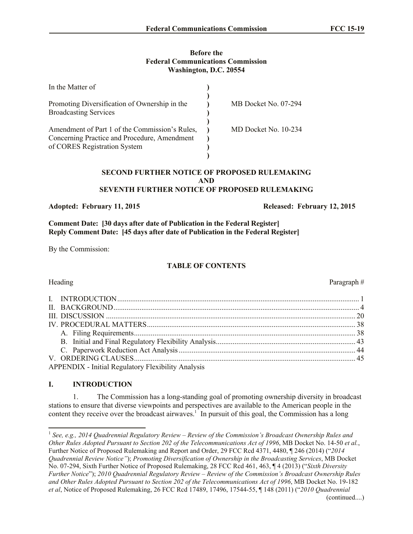#### **Before the Federal Communications Commission Washington, D.C. 20554**

| In the Matter of                               |                      |
|------------------------------------------------|----------------------|
|                                                |                      |
| Promoting Diversification of Ownership in the  | MB Docket No. 07-294 |
| <b>Broadcasting Services</b>                   |                      |
|                                                |                      |
| Amendment of Part 1 of the Commission's Rules, | MD Docket No. 10-234 |
| Concerning Practice and Procedure, Amendment   |                      |
| of CORES Registration System                   |                      |
|                                                |                      |

#### **SECOND FURTHER NOTICE OF PROPOSED RULEMAKING AND SEVENTH FURTHER NOTICE OF PROPOSED RULEMAKING**

### **Adopted: February 11, 2015 Released: February 12, 2015**

**Comment Date: [30 days after date of Publication in the Federal Register] Reply Comment Date: [45 days after date of Publication in the Federal Register]**

By the Commission:

# **TABLE OF CONTENTS**

| <b>APPENDIX - Initial Regulatory Flexibility Analysis</b> |  |
|-----------------------------------------------------------|--|

# **I. INTRODUCTION**

1. The Commission has a long-standing goal of promoting ownership diversity in broadcast stations to ensure that diverse viewpoints and perspectives are available to the American people in the content they receive over the broadcast airwaves.<sup>1</sup> In pursuit of this goal, the Commission has a long

Heading Paragraph #

 1 *See, e.g., 2014 Quadrennial Regulatory Review – Review of the Commission's Broadcast Ownership Rules and Other Rules Adopted Pursuant to Section 202 of the Telecommunications Act of 1996*, MB Docket No. 14-50 *et al.*, Further Notice of Proposed Rulemaking and Report and Order, 29 FCC Rcd 4371, 4480, ¶ 246 (2014) ("*2014 Quadrennial Review Notice"*); *Promoting Diversification of Ownership in the Broadcasting Services*, MB Docket No. 07-294, Sixth Further Notice of Proposed Rulemaking, 28 FCC Rcd 461, 463, ¶ 4 (2013) ("*Sixth Diversity Further Notice*"); *2010 Quadrennial Regulatory Review – Review of the Commission's Broadcast Ownership Rules and Other Rules Adopted Pursuant to Section 202 of the Telecommunications Act of 1996*, MB Docket No. 19-182 *et al*, Notice of Proposed Rulemaking, 26 FCC Rcd 17489, 17496, 17544-55, ¶ 148 (2011) ("*2010 Quadrennial*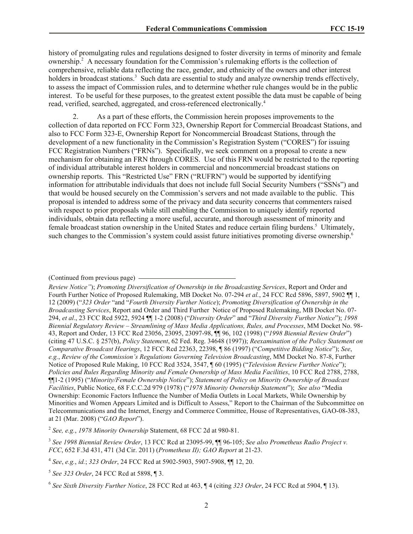history of promulgating rules and regulations designed to foster diversity in terms of minority and female ownership.<sup>2</sup> A necessary foundation for the Commission's rulemaking efforts is the collection of comprehensive, reliable data reflecting the race, gender, and ethnicity of the owners and other interest holders in broadcast stations.<sup>3</sup> Such data are essential to study and analyze ownership trends effectively, to assess the impact of Commission rules, and to determine whether rule changes would be in the public interest. To be useful for these purposes, to the greatest extent possible the data must be capable of being read, verified, searched, aggregated, and cross-referenced electronically.<sup>4</sup>

2. As a part of these efforts, the Commission herein proposes improvements to the collection of data reported on FCC Form 323, Ownership Report for Commercial Broadcast Stations, and also to FCC Form 323-E, Ownership Report for Noncommercial Broadcast Stations, through the development of a new functionality in the Commission's Registration System ("CORES") for issuing FCC Registration Numbers ("FRNs"). Specifically, we seek comment on a proposal to create a new mechanism for obtaining an FRN through CORES. Use of this FRN would be restricted to the reporting of individual attributable interest holders in commercial and noncommercial broadcast stations on ownership reports. This "Restricted Use" FRN ("RUFRN") would be supported by identifying information for attributable individuals that does not include full Social Security Numbers ("SSNs") and that would be housed securely on the Commission's servers and not made available to the public. This proposal is intended to address some of the privacy and data security concerns that commenters raised with respect to prior proposals while still enabling the Commission to uniquely identify reported individuals, obtain data reflecting a more useful, accurate, and thorough assessment of minority and female broadcast station ownership in the United States and reduce certain filing burdens.<sup>5</sup> Ultimately, such changes to the Commission's system could assist future initiatives promoting diverse ownership.<sup>6</sup>

2 *See, e.g.*, *1978 Minority Ownership* Statement, 68 FCC 2d at 980-81.

<sup>(</sup>Continued from previous page)

*Review Notice"*); *Promoting Diversification of Ownership in the Broadcasting Services*, Report and Order and Fourth Further Notice of Proposed Rulemaking, MB Docket No. 07-294 *et al.*, 24 FCC Rcd 5896, 5897, 5902 ¶¶ 1, 12 (2009) ("*323 Order* "and "*Fourth Diversity Further Notice*); *Promoting Diversification of Ownership in the Broadcasting Services*, Report and Order and Third Further Notice of Proposed Rulemaking, MB Docket No. 07- 294, *et al*., 23 FCC Rcd 5922, 5924 ¶¶ 1-2 (2008) ("*Diversity Order*" and "*Third Diversity Further Notice*"); *1998 Biennial Regulatory Review – Streamlining of Mass Media Applications, Rules, and Processes*, MM Docket No. 98- 43, Report and Order, 13 FCC Rcd 23056, 23095, 23097-98, ¶¶ 96, 102 (1998) ("*1998 Biennial Review Order*") (citing 47 U.S.C. § 257(b), *Policy Statement*, 62 Fed. Reg. 34648 (1997)); *Reexamination of the Policy Statement on Comparative Broadcast Hearings*, 12 FCC Rcd 22363, 22398, ¶ 86 (1997) ("*Competitive Bidding Notice*"); *See*, *e.g.*, *Review of the Commission's Regulations Governing Television Broadcasting*, MM Docket No. 87-8, Further Notice of Proposed Rule Making, 10 FCC Rcd 3524, 3547, ¶ 60 (1995) ("*Television Review Further Notice*"); *Policies and Rules Regarding Minority and Female Ownership of Mass Media Facilities*, 10 FCC Rcd 2788, 2788, ¶¶1-2 (1995) ("*Minority/Female Ownership Notice*"); *Statement of Policy on Minority Ownership of Broadcast Facilities*, Public Notice, 68 F.C.C.2d 979 (1978) ("*1978 Minority Ownership Statement*"); *See also* "Media Ownership: Economic Factors Influence the Number of Media Outlets in Local Markets, While Ownership by Minorities and Women Appears Limited and is Difficult to Assess," Report to the Chairman of the Subcommittee on Telecommunications and the Internet, Energy and Commerce Committee, House of Representatives, GAO-08-383, at 21 (Mar. 2008) ("*GAO Report*").

<sup>3</sup> *See 1998 Biennial Review Order*, 13 FCC Rcd at 23095-99, ¶¶ 96-105; *See also Prometheus Radio Project v. FCC*, 652 F.3d 431, 471 (3d Cir. 2011) (*Prometheus II); GAO Report* at 21-23.

<sup>4</sup> *See*, *e.g.*, *id.*; *323 Order*, 24 FCC Rcd at 5902-5903, 5907-5908, ¶¶ 12, 20.

<sup>5</sup> *See 323 Order*, 24 FCC Rcd at 5898, ¶ 3.

<sup>6</sup> *See Sixth Diversity Further Notice*, 28 FCC Rcd at 463, ¶ 4 (citing *323 Order*, 24 FCC Rcd at 5904, ¶ 13).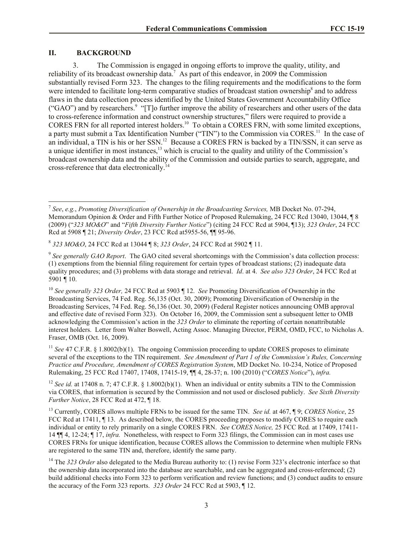#### **II. BACKGROUND**

 $\overline{\phantom{a}}$ 

3. The Commission is engaged in ongoing efforts to improve the quality, utility, and reliability of its broadcast ownership data.<sup>7</sup> As part of this endeavor, in 2009 the Commission substantially revised Form 323. The changes to the filing requirements and the modifications to the form were intended to facilitate long-term comparative studies of broadcast station ownership<sup>8</sup> and to address flaws in the data collection process identified by the United States Government Accountability Office ("GAO") and by researchers.<sup>9</sup> "[T]o further improve the ability of researchers and other users of the data to cross-reference information and construct ownership structures," filers were required to provide a CORES FRN for all reported interest holders.<sup>10</sup> To obtain a CORES FRN, with some limited exceptions, a party must submit a Tax Identification Number ("TIN") to the Commission via CORES.<sup>11</sup> In the case of an individual, a TIN is his or her SSN.<sup>12</sup> Because a CORES FRN is backed by a TIN/SSN, it can serve as a unique identifier in most instances,<sup>13</sup> which is crucial to the quality and utility of the Commission's broadcast ownership data and the ability of the Commission and outside parties to search, aggregate, and cross-reference that data electronically.<sup>14</sup>

<sup>7</sup> *See*, *e.g.*, *Promoting Diversification of Ownership in the Broadcasting Services,* MB Docket No. 07-294, Memorandum Opinion & Order and Fifth Further Notice of Proposed Rulemaking, 24 FCC Rcd 13040, 13044, ¶ 8 (2009) ("*323 MO&O*" and "*Fifth Diversity Further Notice*") (citing 24 FCC Rcd at 5904, ¶13); *323 Order*, 24 FCC Rcd at 5908 ¶ 21; *Diversity Order*, 23 FCC Rcd at5955-56, ¶¶ 95-96.

<sup>8</sup> *323 MO&O*, 24 FCC Rcd at 13044 ¶ 8; *323 Order*, 24 FCC Rcd at 5902 ¶ 11.

<sup>&</sup>lt;sup>9</sup> See generally GAO Report. The GAO cited several shortcomings with the Commission's data collection process: (1) exemptions from the biennial filing requirement for certain types of broadcast stations; (2) inadequate data quality procedures; and (3) problems with data storage and retrieval. *Id*. at 4. *See also 323 Order*, 24 FCC Rcd at 5901 ¶ 10.

<sup>10</sup> *See generally 323 Order,* 24 FCC Rcd at 5903 ¶ 12. *See* Promoting Diversification of Ownership in the Broadcasting Services, 74 Fed. Reg. 56,135 (Oct. 30, 2009); Promoting Diversification of Ownership in the Broadcasting Services, 74 Fed. Reg. 56,136 (Oct. 30, 2009) (Federal Register notices announcing OMB approval and effective date of revised Form 323). On October 16, 2009, the Commission sent a subsequent letter to OMB acknowledging the Commission's action in the *323 Order* to eliminate the reporting of certain nonattributable interest holders. Letter from Walter Boswell, Acting Assoc. Managing Director, PERM, OMD, FCC, to Nicholas A. Fraser, OMB (Oct. 16, 2009).

<sup>&</sup>lt;sup>11</sup> *See* 47 C.F.R. § 1.8002(b)(1). The ongoing Commission proceeding to update CORES proposes to eliminate several of the exceptions to the TIN requirement. *See Amendment of Part 1 of the Commission's Rules, Concerning Practice and Procedure, Amendment of CORES Registration System*, MD Docket No. 10-234, Notice of Proposed Rulemaking, 25 FCC Rcd 17407, 17408, 17415-19, ¶¶ 4, 28-37; n. 100 (2010) ("*CORES Notice*"), *infra.*

<sup>&</sup>lt;sup>12</sup> *See id.* at 17408 n. 7; 47 C.F.R. § 1.8002(b)(1). When an individual or entity submits a TIN to the Commission via CORES, that information is secured by the Commission and not used or disclosed publicly. *See Sixth Diversity Further Notice*, 28 FCC Rcd at 472, ¶ 18.

<sup>13</sup> Currently, CORES allows multiple FRNs to be issued for the same TIN. *See id.* at 467, ¶ 9; *CORES Notice*, 25 FCC Rcd at 17411,  $\P$  13. As described below, the CORES proceeding proposes to modify CORES to require each individual or entity to rely primarily on a single CORES FRN. *See CORES Notice*, 25 FCC Rcd. at 17409, 17411-14 ¶¶ 4, 12-24; ¶ 17, *infra.* Nonetheless, with respect to Form 323 filings, the Commission can in most cases use CORES FRNs for unique identification, because CORES allows the Commission to determine when multiple FRNs are registered to the same TIN and, therefore, identify the same party.

<sup>&</sup>lt;sup>14</sup> The 323 Order also delegated to the Media Bureau authority to: (1) revise Form 323's electronic interface so that the ownership data incorporated into the database are searchable, and can be aggregated and cross-referenced; (2) build additional checks into Form 323 to perform verification and review functions; and (3) conduct audits to ensure the accuracy of the Form 323 reports. *323 Order* 24 FCC Rcd at 5903, ¶ 12.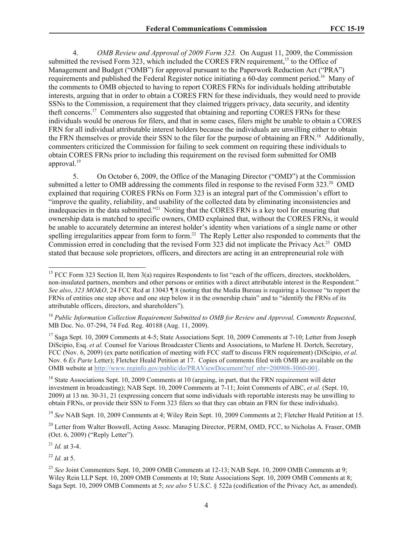4. *OMB Review and Approval of 2009 Form 323.* On August 11, 2009, the Commission submitted the revised Form 323, which included the CORES FRN requirement,<sup>15</sup> to the Office of Management and Budget ("OMB") for approval pursuant to the Paperwork Reduction Act ("PRA") requirements and published the Federal Register notice initiating a 60-day comment period.<sup>16</sup> Many of the comments to OMB objected to having to report CORES FRNs for individuals holding attributable interests, arguing that in order to obtain a CORES FRN for these individuals, they would need to provide SSNs to the Commission, a requirement that they claimed triggers privacy, data security, and identity theft concerns.<sup>17</sup> Commenters also suggested that obtaining and reporting CORES FRNs for these individuals would be onerous for filers, and that in some cases, filers might be unable to obtain a CORES FRN for all individual attributable interest holders because the individuals are unwilling either to obtain the FRN themselves or provide their SSN to the filer for the purpose of obtaining an FRN.<sup>18</sup> Additionally, commenters criticized the Commission for failing to seek comment on requiring these individuals to obtain CORES FRNs prior to including this requirement on the revised form submitted for OMB approval.<sup>19</sup>

5. On October 6, 2009, the Office of the Managing Director ("OMD") at the Commission submitted a letter to OMB addressing the comments filed in response to the revised Form 323.<sup>20</sup> OMD explained that requiring CORES FRNs on Form 323 is an integral part of the Commission's effort to "improve the quality, reliability, and usability of the collected data by eliminating inconsistencies and inadequacies in the data submitted."<sup>21</sup> Noting that the CORES FRN is a key tool for ensuring that ownership data is matched to specific owners, OMD explained that, without the CORES FRNs, it would be unable to accurately determine an interest holder's identity when variations of a single name or other spelling irregularities appear from form to form.<sup>22</sup> The Reply Letter also responded to comments that the Commission erred in concluding that the revised Form 323 did not implicate the Privacy Act.<sup>23</sup> OMD stated that because sole proprietors, officers, and directors are acting in an entrepreneurial role with

<sup>19</sup> See NAB Sept. 10, 2009 Comments at 4; Wiley Rein Sept. 10, 2009 Comments at 2; Fletcher Heald Petition at 15.

<sup>20</sup> Letter from Walter Boswell, Acting Assoc. Managing Director, PERM, OMD, FCC, to Nicholas A. Fraser, OMB (Oct. 6, 2009) ("Reply Letter").

 $^{21}$  *Id.* at 3-4.

 $\overline{\phantom{a}}$ 

 $^{22}$  *Id.* at 5.

<sup>&</sup>lt;sup>15</sup> FCC Form 323 Section II, Item 3(a) requires Respondents to list "each of the officers, directors, stockholders, non-insulated partners, members and other persons or entities with a direct attributable interest in the Respondent." *See also*, *323 MO&O*, 24 FCC Rcd at 13043 ¶ 8 (noting that the Media Bureau is requiring a licensee "to report the FRNs of entities one step above and one step below it in the ownership chain" and to "identify the FRNs of its attributable officers, directors, and shareholders").

<sup>16</sup> *Public Information Collection Requirement Submitted to OMB for Review and Approval, Comments Requested*, MB Doc. No. 07-294, 74 Fed. Reg. 40188 (Aug. 11, 2009).

<sup>&</sup>lt;sup>17</sup> Saga Sept. 10, 2009 Comments at 4-5; State Associations Sept. 10, 2009 Comments at 7-10; Letter from Joseph DiScipio, Esq. *et al.* Counsel for Various Broadcaster Clients and Associations, to Marlene H. Dortch, Secretary, FCC (Nov. 6, 2009) (ex parte notification of meeting with FCC staff to discuss FRN requirement) (DiScipio, *et al.* Nov. 6 *Ex Parte* Letter); Fletcher Heald Petition at 17. Copies of comments filed with OMB are available on the OMB website at http://www.reginfo.gov/public/do/PRAViewDocument?ref\_nbr=200908-3060-001.

<sup>&</sup>lt;sup>18</sup> State Associations Sept. 10, 2009 Comments at 10 (arguing, in part, that the FRN requirement will deter investment in broadcasting); NAB Sept. 10, 2009 Comments at 7-11; Joint Comments of ABC, *et al.* (Sept. 10, 2009) at 13 nn. 30-31, 21 (expressing concern that some individuals with reportable interests may be unwilling to obtain FRNs, or provide their SSN to Form 323 filers so that they can obtain an FRN for these individuals).

<sup>&</sup>lt;sup>23</sup> See Joint Commenters Sept. 10, 2009 OMB Comments at 12-13; NAB Sept. 10, 2009 OMB Comments at 9: Wiley Rein LLP Sept. 10, 2009 OMB Comments at 10; State Associations Sept. 10, 2009 OMB Comments at 8; Saga Sept. 10, 2009 OMB Comments at 5; *see also* 5 U.S.C. § 522a (codification of the Privacy Act, as amended).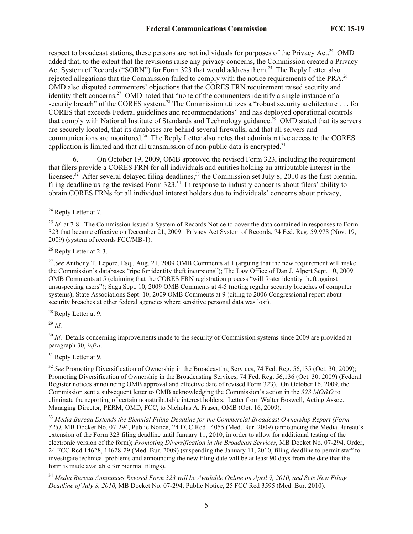respect to broadcast stations, these persons are not individuals for purposes of the Privacy Act.<sup>24</sup> OMD added that, to the extent that the revisions raise any privacy concerns, the Commission created a Privacy Act System of Records ("SORN") for Form 323 that would address them.<sup>25</sup> The Reply Letter also rejected allegations that the Commission failed to comply with the notice requirements of the PRA.<sup>26</sup> OMD also disputed commenters' objections that the CORES FRN requirement raised security and identity theft concerns.<sup>27</sup> OMD noted that "none of the commenters identify a single instance of a security breach" of the CORES system.<sup>28</sup> The Commission utilizes a "robust security architecture . . . for CORES that exceeds Federal guidelines and recommendations" and has deployed operational controls that comply with National Institute of Standards and Technology guidance.<sup>29</sup> OMD stated that its servers are securely located, that its databases are behind several firewalls, and that all servers and communications are monitored.<sup>30</sup> The Reply Letter also notes that administrative access to the CORES application is limited and that all transmission of non-public data is encrypted.<sup>31</sup>

6. On October 19, 2009, OMB approved the revised Form 323, including the requirement that filers provide a CORES FRN for all individuals and entities holding an attributable interest in the licensee.<sup>32</sup> After several delayed filing deadlines,<sup>33</sup> the Commission set July 8, 2010 as the first biennial filing deadline using the revised Form 323.<sup>34</sup> In response to industry concerns about filers' ability to obtain CORES FRNs for all individual interest holders due to individuals' concerns about privacy,

l

<sup>28</sup> Reply Letter at 9.

<sup>29</sup> *Id*.

<sup>30</sup> *Id.* Details concerning improvements made to the security of Commission systems since 2009 are provided at paragraph 30, *infra*.

<sup>31</sup> Reply Letter at 9.

<sup>32</sup> *See* Promoting Diversification of Ownership in the Broadcasting Services, 74 Fed. Reg. 56,135 (Oct. 30, 2009); Promoting Diversification of Ownership in the Broadcasting Services, 74 Fed. Reg. 56,136 (Oct. 30, 2009) (Federal Register notices announcing OMB approval and effective date of revised Form 323). On October 16, 2009, the Commission sent a subsequent letter to OMB acknowledging the Commission's action in the *323 MO&O* to eliminate the reporting of certain nonattributable interest holders. Letter from Walter Boswell, Acting Assoc. Managing Director, PERM, OMD, FCC, to Nicholas A. Fraser, OMB (Oct. 16, 2009).

<sup>33</sup> *Media Bureau Extends the Biennial Filing Deadline for the Commercial Broadcast Ownership Report (Form 323)*, MB Docket No. 07-294, Public Notice, 24 FCC Rcd 14055 (Med. Bur. 2009) (announcing the Media Bureau's extension of the Form 323 filing deadline until January 11, 2010, in order to allow for additional testing of the electronic version of the form); *Promoting Diversification in the Broadcast Services*, MB Docket No. 07-294, Order, 24 FCC Rcd 14628, 14628-29 (Med. Bur. 2009) (suspending the January 11, 2010, filing deadline to permit staff to investigate technical problems and announcing the new filing date will be at least 90 days from the date that the form is made available for biennial filings).

<sup>34</sup> *Media Bureau Announces Revised Form 323 will be Available Online on April 9, 2010, and Sets New Filing Deadline of July 8, 2010*, MB Docket No. 07-294, Public Notice, 25 FCC Rcd 3595 (Med. Bur. 2010).

 $24$  Reply Letter at 7.

<sup>&</sup>lt;sup>25</sup> *Id.* at 7-8. The Commission issued a System of Records Notice to cover the data contained in responses to Form 323 that became effective on December 21, 2009. Privacy Act System of Records, 74 Fed. Reg. 59,978 (Nov. 19, 2009) (system of records FCC/MB-1).

 $26$  Reply Letter at 2-3.

<sup>27</sup> *See* Anthony T. Lepore, Esq., Aug. 21, 2009 OMB Comments at 1 (arguing that the new requirement will make the Commission's databases "ripe for identity theft incursions"); The Law Office of Dan J. Alpert Sept. 10, 2009 OMB Comments at 5 (claiming that the CORES FRN registration process "will foster identity theft against unsuspecting users"); Saga Sept. 10, 2009 OMB Comments at 4-5 (noting regular security breaches of computer systems); State Associations Sept. 10, 2009 OMB Comments at 9 (citing to 2006 Congressional report about security breaches at other federal agencies where sensitive personal data was lost).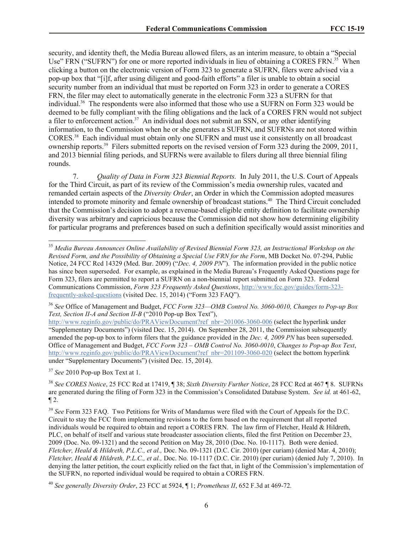security, and identity theft, the Media Bureau allowed filers, as an interim measure, to obtain a "Special Use" FRN ("SUFRN") for one or more reported individuals in lieu of obtaining a CORES FRN.<sup>35</sup> When clicking a button on the electronic version of Form 323 to generate a SUFRN, filers were advised via a pop-up box that "[i]f, after using diligent and good-faith efforts" a filer is unable to obtain a social security number from an individual that must be reported on Form 323 in order to generate a CORES FRN, the filer may elect to automatically generate in the electronic Form 323 a SUFRN for that individual.<sup>36</sup> The respondents were also informed that those who use a SUFRN on Form 323 would be deemed to be fully compliant with the filing obligations and the lack of a CORES FRN would not subject a filer to enforcement action.<sup>37</sup> An individual does not submit an SSN, or any other identifying information, to the Commission when he or she generates a SUFRN, and SUFRNs are not stored within CORES.<sup>38</sup> Each individual must obtain only one SUFRN and must use it consistently on all broadcast ownership reports.<sup>39</sup> Filers submitted reports on the revised version of Form 323 during the 2009, 2011, and 2013 biennial filing periods, and SUFRNs were available to filers during all three biennial filing rounds.

7. *Quality of Data in Form 323 Biennial Reports.* In July 2011, the U.S. Court of Appeals for the Third Circuit, as part of its review of the Commission's media ownership rules, vacated and remanded certain aspects of the *Diversity Order*, an Order in which the Commission adopted measures intended to promote minority and female ownership of broadcast stations. 40 The Third Circuit concluded that the Commission's decision to adopt a revenue-based eligible entity definition to facilitate ownership diversity was arbitrary and capricious because the Commission did not show how determining eligibility for particular programs and preferences based on such a definition specifically would assist minorities and

<sup>37</sup> *See* 2010 Pop-up Box Text at 1.

l

<sup>38</sup> *See CORES Notice*, 25 FCC Rcd at 17419, ¶ 38; *Sixth Diversity Further Notice*, 28 FCC Rcd at 467 ¶ 8. SUFRNs are generated during the filing of Form 323 in the Commission's Consolidated Database System. *See id.* at 461-62,  $\P 2$ .

<sup>39</sup> *See* Form 323 FAQ. Two Petitions for Writs of Mandamus were filed with the Court of Appeals for the D.C. Circuit to stay the FCC from implementing revisions to the form based on the requirement that all reported individuals would be required to obtain and report a CORES FRN. The law firm of Fletcher, Heald & Hildreth, PLC, on behalf of itself and various state broadcaster association clients, filed the first Petition on December 23, 2009 (Doc. No. 09-1321) and the second Petition on May 28, 2010 (Doc. No. 10-1117). Both were denied. *Fletcher, Heald & Hildreth, P.L.C., et al.,* Doc. No. 09-1321 (D.C. Cir. 2010) (per curiam) (denied Mar. 4, 2010); *Fletcher, Heald & Hildreth, P.L.C., et al.,* Doc. No. 10-1117 (D.C. Cir. 2010) (per curiam) (denied July 7, 2010). In denying the latter petition, the court explicitly relied on the fact that, in light of the Commission's implementation of the SUFRN, no reported individual would be required to obtain a CORES FRN.

<sup>35</sup> *Media Bureau Announces Online Availability of Revised Biennial Form 323, an Instructional Workshop on the Revised Form, and the Possibility of Obtaining a Special Use FRN for the Form*, MB Docket No. 07-294, Public Notice, 24 FCC Rcd 14329 (Med. Bur. 2009) ("*Dec. 4, 2009 PN*"). The information provided in the public notice has since been superseded. For example, as explained in the Media Bureau's Frequently Asked Questions page for Form 323, filers are permitted to report a SUFRN on a non-biennial report submitted on Form 323. Federal Communications Commission, *Form 323 Frequently Asked Questions*, http://www.fcc.gov/guides/form-323 frequently-asked-questions (visited Dec. 15, 2014) ("Form 323 FAQ").

<sup>36</sup> *See* Office of Management and Budget, *FCC Form 323—OMB Control No. 3060-0010, Changes to Pop-up Box Text, Section II-A and Section II-B* ("2010 Pop-up Box Text"),

http://www.reginfo.gov/public/do/PRAViewDocument?ref\_nbr=201006-3060-006 (select the hyperlink under "Supplementary Documents") (visited Dec. 15, 2014). On September 28, 2011, the Commission subsequently amended the pop-up box to inform filers that the guidance provided in the *Dec. 4, 2009 PN* has been superseded. Office of Management and Budget, *FCC Form 323 – OMB Control No. 3060-0010*, *Changes to Pop-up Box Text*, http://www.reginfo.gov/public/do/PRAViewDocument?ref\_nbr=201109-3060-020 (select the bottom hyperlink under "Supplementary Documents") (visited Dec. 15, 2014).

<sup>40</sup> *See generally Diversity Order*, 23 FCC at 5924, ¶ 1; *Prometheus II*, 652 F.3d at 469-72*.*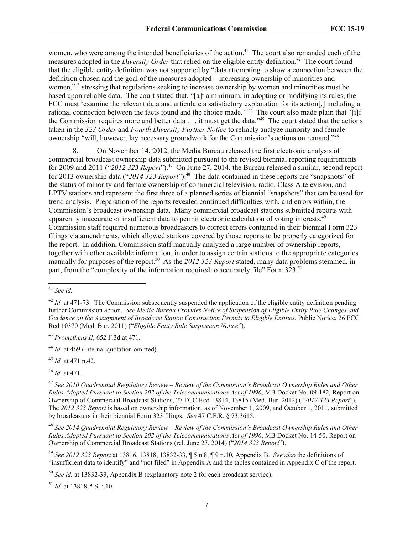women, who were among the intended beneficiaries of the action.<sup>41</sup> The court also remanded each of the measures adopted in the *Diversity Order* that relied on the eligible entity definition*.* 42 The court found that the eligible entity definition was not supported by "data attempting to show a connection between the definition chosen and the goal of the measures adopted – increasing ownership of minorities and women,<sup>343</sup> stressing that regulations seeking to increase ownership by women and minorities must be based upon reliable data. The court stated that, "[a]t a minimum, in adopting or modifying its rules, the FCC must 'examine the relevant data and articulate a satisfactory explanation for its action[,] including a rational connection between the facts found and the choice made.<sup>'"44</sup> The court also made plain that "[i]f the Commission requires more and better data . . . it must get the data.<sup>145</sup> The court stated that the actions taken in the *323 Order* and *Fourth Diversity Further Notice* to reliably analyze minority and female ownership "will, however, lay necessary groundwork for the Commission's actions on remand."<sup>46</sup>

8. On November 14, 2012, the Media Bureau released the first electronic analysis of commercial broadcast ownership data submitted pursuant to the revised biennial reporting requirements for 2009 and 2011 ("2012 323 Report").<sup>47</sup> On June 27, 2014, the Bureau released a similar, second report for 2013 ownership data ("2014 323 Report").<sup>48</sup> The data contained in these reports are "snapshots" of the status of minority and female ownership of commercial television, radio, Class A television, and LPTV stations and represent the first three of a planned series of biennial "snapshots" that can be used for trend analysis. Preparation of the reports revealed continued difficulties with, and errors within, the Commission's broadcast ownership data. Many commercial broadcast stations submitted reports with apparently inaccurate or insufficient data to permit electronic calculation of voting interests.<sup>49</sup> Commission staff required numerous broadcasters to correct errors contained in their biennial Form 323 filings via amendments, which allowed stations covered by those reports to be properly categorized for the report. In addition, Commission staff manually analyzed a large number of ownership reports, together with other available information, in order to assign certain stations to the appropriate categories manually for purposes of the report.<sup>50</sup> As the 2012 323 Report stated, many data problems stemmed, in part, from the "complexity of the information required to accurately file" Form 323.<sup>51</sup>

 $\overline{\phantom{a}}$ 

<sup>45</sup> *Id.* at 471 n.42.

<sup>46</sup> *Id.* at 471.

<sup>51</sup> *Id.* at 13818, ¶ 9 n.10.

<sup>41</sup> *See id.*

<sup>&</sup>lt;sup>42</sup> *Id.* at 471-73. The Commission subsequently suspended the application of the eligible entity definition pending further Commission action. *See Media Bureau Provides Notice of Suspension of Eligible Entity Rule Changes and Guidance on the Assignment of Broadcast Station Construction Permits to Eligible Entities*, Public Notice, 26 FCC Rcd 10370 (Med. Bur. 2011) ("*Eligible Entity Rule Suspension Notice*").

<sup>43</sup> *Prometheus II*, 652 F.3d at 471.

<sup>&</sup>lt;sup>44</sup> *Id.* at 469 (internal quotation omitted).

<sup>47</sup> *See 2010 Quadrennial Regulatory Review – Review of the Commission's Broadcast Ownership Rules and Other Rules Adopted Pursuant to Section 202 of the Telecommunications Act of 1996*, MB Docket No. 09-182, Report on Ownership of Commercial Broadcast Stations, 27 FCC Rcd 13814, 13815 (Med. Bur. 2012) ("*2012 323 Report*"). The *2012 323 Report* is based on ownership information, as of November 1, 2009, and October 1, 2011, submitted by broadcasters in their biennial Form 323 filings. *See* 47 C.F.R. § 73.3615.

<sup>48</sup> *See 2014 Quadrennial Regulatory Review – Review of the Commission's Broadcast Ownership Rules and Other Rules Adopted Pursuant to Section 202 of the Telecommunications Act of 1996*, MB Docket No. 14-50, Report on Ownership of Commercial Broadcast Stations (rel. June 27, 2014) ("*2014 323 Report*").

<sup>49</sup> *See 2012 323 Report* at 13816, 13818, 13832-33, ¶ 5 n.8, ¶ 9 n.10, Appendix B. *See also* the definitions of "insufficient data to identify" and "not filed" in Appendix A and the tables contained in Appendix C of the report.

<sup>50</sup> *See id.* at 13832-33, Appendix B (explanatory note 2 for each broadcast service).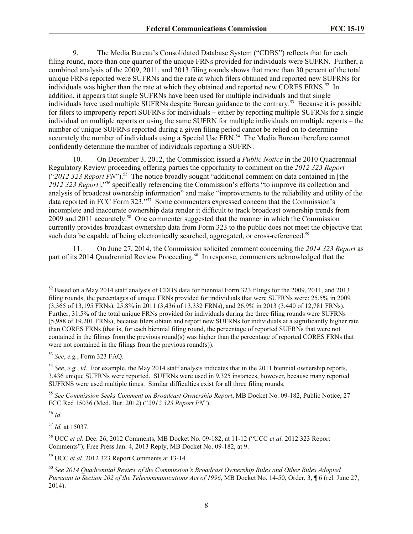9. The Media Bureau's Consolidated Database System ("CDBS") reflects that for each filing round, more than one quarter of the unique FRNs provided for individuals were SUFRN. Further, a combined analysis of the 2009, 2011, and 2013 filing rounds shows that more than 30 percent of the total unique FRNs reported were SUFRNs and the rate at which filers obtained and reported new SUFRNs for individuals was higher than the rate at which they obtained and reported new CORES FRNS.<sup>52</sup> In addition, it appears that single SUFRNs have been used for multiple individuals and that single individuals have used multiple SUFRNs despite Bureau guidance to the contrary.<sup>53</sup> Because it is possible for filers to improperly report SUFRNs for individuals – either by reporting multiple SUFRNs for a single individual on multiple reports or using the same SUFRN for multiple individuals on multiple reports – the number of unique SUFRNs reported during a given filing period cannot be relied on to determine accurately the number of individuals using a Special Use FRN.<sup>54</sup> The Media Bureau therefore cannot confidently determine the number of individuals reporting a SUFRN.

10. On December 3, 2012, the Commission issued a *Public Notice* in the 2010 Quadrennial Regulatory Review proceeding offering parties the opportunity to comment on the *2012 323 Report*  ("2012 323 Report PN").<sup>55</sup> The notice broadly sought "additional comment on data contained in [the *2012 323 Report*]," <sup>56</sup> specifically referencing the Commission's efforts "to improve its collection and analysis of broadcast ownership information" and make "improvements to the reliability and utility of the data reported in FCC Form 323."<sup>57</sup> Some commenters expressed concern that the Commission's incomplete and inaccurate ownership data render it difficult to track broadcast ownership trends from 2009 and 2011 accurately.<sup>58</sup> One commenter suggested that the manner in which the Commission currently provides broadcast ownership data from Form 323 to the public does not meet the objective that such data be capable of being electronically searched, aggregated, or cross-referenced.<sup>59</sup>

11. On June 27, 2014, the Commission solicited comment concerning the *2014 323 Report* as part of its 2014 Quadrennial Review Proceeding.<sup>60</sup> In response, commenters acknowledged that the

<sup>53</sup> *See*, *e.g.*, Form 323 FAQ.

<sup>55</sup> *See Commission Seeks Comment on Broadcast Ownership Report*, MB Docket No. 09-182, Public Notice, 27 FCC Rcd 15036 (Med. Bur. 2012) ("*2012 323 Report PN*").

<sup>56</sup> *Id.*

l

<sup>57</sup> *Id.* at 15037.

<sup>59</sup> UCC *et al*. 2012 323 Report Comments at 13-14*.* 

 $52$  Based on a May 2014 staff analysis of CDBS data for biennial Form 323 filings for the 2009, 2011, and 2013 filing rounds, the percentages of unique FRNs provided for individuals that were SUFRNs were: 25.5% in 2009 (3,365 of 13,195 FRNs), 25.8% in 2011 (3,436 of 13,332 FRNs), and 26.9% in 2013 (3,440 of 12,781 FRNs). Further, 31.5% of the total unique FRNs provided for individuals during the three filing rounds were SUFRNs (5,988 of 19,201 FRNs), because filers obtain and report new SUFRNs for individuals at a significantly higher rate than CORES FRNs (that is, for each biennial filing round, the percentage of reported SUFRNs that were not contained in the filings from the previous round(s) was higher than the percentage of reported CORES FRNs that were not contained in the filings from the previous round(s)).

<sup>54</sup> *See*, *e.g.*, *id.* For example, the May 2014 staff analysis indicates that in the 2011 biennial ownership reports, 3,436 unique SUFRNs were reported. SUFRNs were used in 9,325 instances, however, because many reported SUFRNS were used multiple times. Similar difficulties exist for all three filing rounds.

<sup>58</sup> UCC *et al*. Dec. 26, 2012 Comments, MB Docket No. 09-182, at 11-12 ("UCC *et al*. 2012 323 Report Comments"); Free Press Jan. 4, 2013 Reply, MB Docket No. 09-182, at 9.

<sup>60</sup> *See 2014 Quadrennial Review of the Commission's Broadcast Ownership Rules and Other Rules Adopted Pursuant to Section 202 of the Telecommunications Act of 1996*, MB Docket No. 14-50, Order, 3, ¶ 6 (rel. June 27, 2014).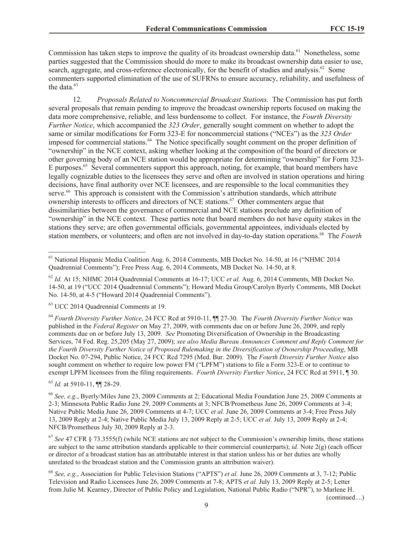Commission has taken steps to improve the quality of its broadcast ownership data.<sup>61</sup> Nonetheless, some parties suggested that the Commission should do more to make its broadcast ownership data easier to use, search, aggregate, and cross-reference electronically, for the benefit of studies and analysis.<sup>62</sup> Some commenters supported elimination of the use of SUFRNs to ensure accuracy, reliability, and usefulness of the data. $63$ 

12. *Proposals Related to Noncommercial Broadcast Stations.* The Commission has put forth several proposals that remain pending to improve the broadcast ownership reports focused on making the data more comprehensive, reliable, and less burdensome to collect. For instance, the *Fourth Diversity Further Notice*, which accompanied the *323 Order*, generally sought comment on whether to adopt the same or similar modifications for Form 323-E for noncommercial stations ("NCEs") as the *323 Order*  imposed for commercial stations.<sup>64</sup> The Notice specifically sought comment on the proper definition of "ownership" in the NCE context, asking whether looking at the composition of the board of directors or other governing body of an NCE station would be appropriate for determining "ownership" for Form 323- E purposes.<sup>65</sup> Several commenters support this approach, noting, for example, that board members have legally cognizable duties to the licensees they serve and often are involved in station operations and hiring decisions, have final authority over NCE licensees, and are responsible to the local communities they serve.<sup>66</sup> This approach is consistent with the Commission's attribution standards, which attribute ownership interests to officers and directors of NCE stations.<sup>67</sup> Other commenters argue that dissimilarities between the governance of commercial and NCE stations preclude any definition of "ownership" in the NCE context. These parties note that board members do not have equity stakes in the stations they serve; are often governmental officials, governmental appointees, individuals elected by station members, or volunteers; and often are not involved in day-to-day station operations.<sup>68</sup> The *Fourth* 

<sup>63</sup> UCC 2014 Quadrennial Comments at 19.

<sup>64</sup> *Fourth Diversity Further Notice*, 24 FCC Rcd at 5910-11, ¶¶ 27-30. The *Fourth Diversity Further Notice* was published in the *Federal Register* on May 27, 2009, with comments due on or before June 26, 2009, and reply comments due on or before July 13, 2009. *See* Promoting Diversification of Ownership in the Broadcasting Services, 74 Fed. Reg. 25,205 (May 27, 2009); *see also Media Bureau Announces Comment and Reply Comment for the Fourth Diversity Further Notice of Proposed Rulemaking in the Diversification of Ownership Proceeding*, MB Docket No. 07-294, Public Notice, 24 FCC Rcd 7295 (Med. Bur. 2009). The *Fourth Diversity Further Notice* also sought comment on whether to require low power FM ("LPFM") stations to file a Form 323-E or to continue to exempt LPFM licensees from the filing requirements. *Fourth Diversity Further Notice*, 24 FCC Rcd at 5911, ¶ 30.

<sup>65</sup> *Id.* at 5910-11, ¶¶ 28-29.

 $\overline{\phantom{a}}$ 

<sup>66</sup> *See, e.g.*, Byerly/Miles June 23, 2009 Comments at 2; Educational Media Foundation June 25, 2009 Comments at 2-3; Minnesota Public Radio June 29, 2009 Comments at 3; NFCB/Prometheus June 26, 2009 Comments at 3-4; Native Public Media June 26, 2009 Comments at 4-7; UCC *et al.* June 26, 2009 Comments at 3-4; Free Press July 13, 2009 Reply at 2-4; Native Public Media July 13, 2009 Reply at 2-5; UCC *et al.* July 13, 2009 Reply at 2-4; NFCB/Prometheus July 30, 2009 Reply at 2-3.

<sup>67</sup> *See* 47 CFR § 73.3555(f) (while NCE stations are not subject to the Commission's ownership limits, those stations are subject to the same attribution standards applicable to their commercial counterparts); *id.* Note 2(g) (each officer or director of a broadcast station has an attributable interest in that station unless his or her duties are wholly unrelated to the broadcast station and the Commission grants an attribution waiver).

<sup>68</sup> *See, e.g.*, Association for Public Television Stations ("APTS") *et al.* June 26, 2009 Comments at 3, 7-12; Public Television and Radio Licensees June 26, 2009 Comments at 7-8; APTS *et al.* July 13, 2009 Reply at 2-5; Letter from Julie M. Kearney, Director of Public Policy and Legislation, National Public Radio ("NPR"), to Marlene H.

(continued....)

<sup>&</sup>lt;sup>61</sup> National Hispanic Media Coalition Aug. 6, 2014 Comments, MB Docket No. 14-50, at 16 ("NHMC 2014 Quadrennial Comments"); Free Press Aug. 6, 2014 Comments, MB Docket No. 14-50, at 8.

<sup>62</sup> *Id.* At 15; NHMC 2014 Quadrennial Comments at 16-17; UCC *et al.* Aug. 6, 2014 Comments, MB Docket No. 14-50, at 19 ("UCC 2014 Quadrennial Comments"); Howard Media Group/Carolyn Byerly Comments, MB Docket No. 14-50, at 4-5 ("Howard 2014 Quadrennial Comments").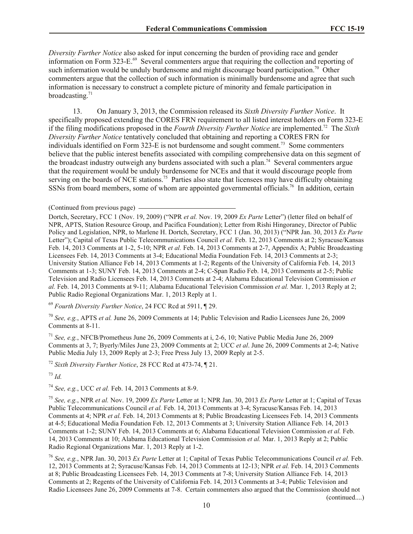*Diversity Further Notice* also asked for input concerning the burden of providing race and gender information on Form 323-E.<sup>69</sup> Several commenters argue that requiring the collection and reporting of such information would be unduly burdensome and might discourage board participation.<sup>70</sup> Other commenters argue that the collection of such information is minimally burdensome and agree that such information is necessary to construct a complete picture of minority and female participation in broadcasting. $71$ 

13. On January 3, 2013, the Commission released its *Sixth Diversity Further Notice*. It specifically proposed extending the CORES FRN requirement to all listed interest holders on Form 323-E if the filing modifications proposed in the *Fourth Diversity Further Notice* are implemented. 72 The *Sixth Diversity Further Notice* tentatively concluded that obtaining and reporting a CORES FRN for individuals identified on Form 323-E is not burdensome and sought comment.<sup>73</sup> Some commenters believe that the public interest benefits associated with compiling comprehensive data on this segment of the broadcast industry outweigh any burdens associated with such a plan.<sup>74</sup> Several commenters argue that the requirement would be unduly burdensome for NCEs and that it would discourage people from serving on the boards of NCE stations.<sup>75</sup> Parties also state that licensees may have difficulty obtaining SSNs from board members, some of whom are appointed governmental officials.<sup>76</sup> In addition, certain

Dortch, Secretary, FCC 1 (Nov. 19, 2009) ("NPR *et al.* Nov. 19, 2009 *Ex Parte* Letter") (letter filed on behalf of NPR, APTS, Station Resource Group, and Pacifica Foundation); Letter from Rishi Hingoraney, Director of Public Policy and Legislation, NPR, to Marlene H. Dortch, Secretary, FCC 1 (Jan. 30, 2013) ("NPR Jan. 30, 2013 *Ex Parte* Letter"); Capital of Texas Public Telecommunications Council *et al.* Feb. 12, 2013 Comments at 2; Syracuse/Kansas Feb. 14, 2013 Comments at 1-2, 5-10; NPR *et al.* Feb. 14, 2013 Comments at 2-7, Appendix A; Public Broadcasting Licensees Feb. 14, 2013 Comments at 3-4; Educational Media Foundation Feb. 14, 2013 Comments at 2-3; University Station Alliance Feb 14, 2013 Comments at 1-2; Regents of the University of California Feb. 14, 2013 Comments at 1-3; SUNY Feb. 14, 2013 Comments at 2-4; C-Span Radio Feb. 14, 2013 Comments at 2-5; Public Television and Radio Licensees Feb. 14, 2013 Comments at 2-4; Alabama Educational Television Commission *et al.* Feb. 14, 2013 Comments at 9-11; Alabama Educational Television Commission *et al.* Mar. 1, 2013 Reply at 2; Public Radio Regional Organizations Mar. 1, 2013 Reply at 1.

<sup>69</sup> *Fourth Diversity Further Notice*, 24 FCC Rcd at 5911, ¶ 29.

<sup>70</sup> *See, e.g.*, APTS *et al.* June 26, 2009 Comments at 14; Public Television and Radio Licensees June 26, 2009 Comments at 8-11.

<sup>71</sup> *See, e.g.*, NFCB/Prometheus June 26, 2009 Comments at i, 2-6, 10; Native Public Media June 26, 2009 Comments at 3, 7; Byerly/Miles June 23, 2009 Comments at 2; UCC *et al*. June 26, 2009 Comments at 2-4; Native Public Media July 13, 2009 Reply at 2-3; Free Press July 13, 2009 Reply at 2-5.

<sup>72</sup> *Sixth Diversity Further Notice*, 28 FCC Rcd at 473-74, ¶ 21.

<sup>73</sup> *Id.*

<sup>74</sup> *See, e.g.*, UCC *et al.* Feb. 14, 2013 Comments at 8-9.

<sup>75</sup> *See, e.g.*, NPR *et al.* Nov. 19, 2009 *Ex Parte* Letter at 1; NPR Jan. 30, 2013 *Ex Parte* Letter at 1; Capital of Texas Public Telecommunications Council *et al.* Feb. 14, 2013 Comments at 3-4; Syracuse/Kansas Feb. 14, 2013 Comments at 4; NPR *et al.* Feb. 14, 2013 Comments at 8; Public Broadcasting Licensees Feb. 14, 2013 Comments at 4-5; Educational Media Foundation Feb. 12, 2013 Comments at 3; University Station Alliance Feb. 14, 2013 Comments at 1-2; SUNY Feb. 14, 2013 Comments at 6; Alabama Educational Television Commission *et al.* Feb. 14, 2013 Comments at 10; Alabama Educational Television Commission *et al.* Mar. 1, 2013 Reply at 2; Public Radio Regional Organizations Mar. 1, 2013 Reply at 1-2.

<sup>76</sup> *See, e.g.*, NPR Jan. 30, 2013 *Ex Parte* Letter at 1; Capital of Texas Public Telecommunications Council *et al.* Feb. 12, 2013 Comments at 2; Syracuse/Kansas Feb. 14, 2013 Comments at 12-13; NPR *et al.* Feb. 14, 2013 Comments at 8; Public Broadcasting Licensees Feb. 14, 2013 Comments at 7-8; University Station Alliance Feb. 14, 2013 Comments at 2; Regents of the University of California Feb. 14, 2013 Comments at 3-4; Public Television and Radio Licensees June 26, 2009 Comments at 7-8. Certain commenters also argued that the Commission should not (continued....)

10

<sup>(</sup>Continued from previous page)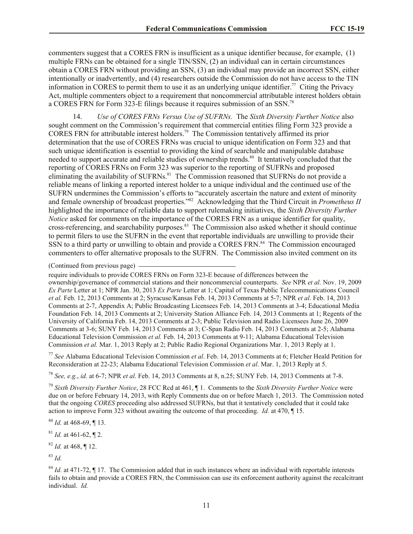commenters suggest that a CORES FRN is insufficient as a unique identifier because, for example, (1) multiple FRNs can be obtained for a single TIN/SSN, (2) an individual can in certain circumstances obtain a CORES FRN without providing an SSN, (3) an individual may provide an incorrect SSN, either intentionally or inadvertently, and (4) researchers outside the Commission do not have access to the TIN information in CORES to permit them to use it as an underlying unique identifier.<sup>77</sup> Citing the Privacy Act, multiple commenters object to a requirement that noncommercial attributable interest holders obtain a CORES FRN for Form 323-E filings because it requires submission of an SSN.<sup>78</sup>

14. *Use of CORES FRNs Versus Use of SUFRNs.* The *Sixth Diversity Further Notice* also sought comment on the Commission's requirement that commercial entities filing Form 323 provide a CORES FRN for attributable interest holders. 79 The Commission tentatively affirmed its prior determination that the use of CORES FRNs was crucial to unique identification on Form 323 and that such unique identification is essential to providing the kind of searchable and manipulable database needed to support accurate and reliable studies of ownership trends.<sup>80</sup> It tentatively concluded that the reporting of CORES FRNs on Form 323 was superior to the reporting of SUFRNs and proposed eliminating the availability of SUFRNs.<sup>81</sup> The Commission reasoned that SUFRNs do not provide a reliable means of linking a reported interest holder to a unique individual and the continued use of the SUFRN undermines the Commission's efforts to "accurately ascertain the nature and extent of minority and female ownership of broadcast properties." 82 Acknowledging that the Third Circuit in *Prometheus II* highlighted the importance of reliable data to support rulemaking initiatives, the *Sixth Diversity Further Notice* asked for comments on the importance of the CORES FRN as a unique identifier for quality, cross-referencing, and searchability purposes.<sup>83</sup> The Commission also asked whether it should continue to permit filers to use the SUFRN in the event that reportable individuals are unwilling to provide their SSN to a third party or unwilling to obtain and provide a CORES FRN.<sup>84</sup> The Commission encouraged commenters to offer alternative proposals to the SUFRN. The Commission also invited comment on its

(Continued from previous page)

require individuals to provide CORES FRNs on Form 323-E because of differences between the ownership/governance of commercial stations and their noncommercial counterparts. *See* NPR *et al.* Nov. 19, 2009 *Ex Parte* Letter at 1; NPR Jan. 30, 2013 *Ex Parte* Letter at 1; Capital of Texas Public Telecommunications Council *et al.* Feb. 12, 2013 Comments at 2; Syracuse/Kansas Feb. 14, 2013 Comments at 5-7; NPR *et al.* Feb. 14, 2013 Comments at 2-7, Appendix A; Public Broadcasting Licensees Feb. 14, 2013 Comments at 3-4; Educational Media Foundation Feb. 14, 2013 Comments at 2; University Station Alliance Feb. 14, 2013 Comments at 1; Regents of the University of California Feb. 14, 2013 Comments at 2-3; Public Television and Radio Licensees June 26, 2009 Comments at 3-6; SUNY Feb. 14, 2013 Comments at 3; C-Span Radio Feb. 14, 2013 Comments at 2-5; Alabama Educational Television Commission *et al.* Feb. 14, 2013 Comments at 9-11; Alabama Educational Television Commission *et al.* Mar. 1, 2013 Reply at 2; Public Radio Regional Organizations Mar. 1, 2013 Reply at 1.

<sup>77</sup> *See* Alabama Educational Television Commission *et al*. Feb. 14, 2013 Comments at 6; Fletcher Heald Petition for Reconsideration at 22-23; Alabama Educational Television Commission *et al*. Mar. 1, 2013 Reply at 5.

<sup>78</sup> *See, e.g.*, *id.* at 6-7; NPR *et al*. Feb. 14, 2013 Comments at 8, n.25; SUNY Feb. 14, 2013 Comments at 7-8.

<sup>79</sup> *Sixth Diversity Further Notice*, 28 FCC Rcd at 461, ¶ 1. Comments to the *Sixth Diversity Further Notice* were due on or before February 14, 2013, with Reply Comments due on or before March 1, 2013. The Commission noted that the ongoing *CORES* proceeding also addressed SUFRNs, but that it tentatively concluded that it could take action to improve Form 323 without awaiting the outcome of that proceeding. *Id.* at 470, ¶ 15.

<sup>80</sup> *Id.* at 468-69, ¶ 13.

 $81$  *Id.* at 461-62, 12.

<sup>82</sup> *Id.* at 468, ¶ 12.

<sup>83</sup> *Id.*

<sup>84</sup> *Id.* at 471-72, ¶ 17. The Commission added that in such instances where an individual with reportable interests fails to obtain and provide a CORES FRN, the Commission can use its enforcement authority against the recalcitrant individual. *Id.*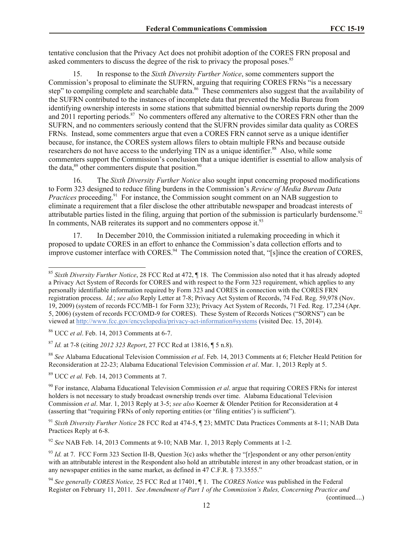tentative conclusion that the Privacy Act does not prohibit adoption of the CORES FRN proposal and asked commenters to discuss the degree of the risk to privacy the proposal poses.<sup>85</sup>

15. In response to the *Sixth Diversity Further Notice*, some commenters support the Commission's proposal to eliminate the SUFRN, arguing that requiring CORES FRNs "is a necessary step" to compiling complete and searchable data.<sup>86</sup> These commenters also suggest that the availability of the SUFRN contributed to the instances of incomplete data that prevented the Media Bureau from identifying ownership interests in some stations that submitted biennial ownership reports during the 2009 and 2011 reporting periods.<sup>87</sup> No commenters offered any alternative to the CORES FRN other than the SUFRN, and no commenters seriously contend that the SUFRN provides similar data quality as CORES FRNs. Instead, some commenters argue that even a CORES FRN cannot serve as a unique identifier because, for instance, the CORES system allows filers to obtain multiple FRNs and because outside researchers do not have access to the underlying TIN as a unique identifier.<sup>88</sup> Also, while some commenters support the Commission's conclusion that a unique identifier is essential to allow analysis of the data, $89$  other commenters dispute that position. $90$ 

16. The *Sixth Diversity Further Notice* also sought input concerning proposed modifications to Form 323 designed to reduce filing burdens in the Commission's *Review of Media Bureau Data Practices* proceeding.<sup>91</sup> For instance, the Commission sought comment on an NAB suggestion to eliminate a requirement that a filer disclose the other attributable newspaper and broadcast interests of attributable parties listed in the filing, arguing that portion of the submission is particularly burdensome.<sup>92</sup> In comments, NAB reiterates its support and no commenters oppose it. $^{93}$ 

17. In December 2010, the Commission initiated a rulemaking proceeding in which it proposed to update CORES in an effort to enhance the Commission's data collection efforts and to improve customer interface with CORES.<sup>94</sup> The Commission noted that, "[s]ince the creation of CORES,

 $\overline{\phantom{a}}$ 

<sup>88</sup> *See* Alabama Educational Television Commission *et al*. Feb. 14, 2013 Comments at 6; Fletcher Heald Petition for Reconsideration at 22-23; Alabama Educational Television Commission *et al*. Mar. 1, 2013 Reply at 5.

<sup>89</sup> UCC *et al.* Feb. 14, 2013 Comments at 7.

<sup>91</sup> *Sixth Diversity Further Notice* 28 FCC Rcd at 474-5, ¶ 23; MMTC Data Practices Comments at 8-11; NAB Data Practices Reply at 6-8.

<sup>92</sup> *See* NAB Feb. 14, 2013 Comments at 9-10; NAB Mar. 1, 2013 Reply Comments at 1-2*.*

(continued....)

<sup>85</sup> *Sixth Diversity Further Notice*, 28 FCC Rcd at 472, ¶ 18. The Commission also noted that it has already adopted a Privacy Act System of Records for CORES and with respect to the Form 323 requirement, which applies to any personally identifiable information required by Form 323 and CORES in connection with the CORES FRN registration process. *Id.*; *see also* Reply Letter at 7-8; Privacy Act System of Records, 74 Fed. Reg. 59,978 (Nov. 19, 2009) (system of records FCC/MB-1 for Form 323); Privacy Act System of Records, 71 Fed. Reg. 17,234 (Apr. 5, 2006) (system of records FCC/OMD-9 for CORES). These System of Records Notices ("SORNS") can be viewed at http://www.fcc.gov/encyclopedia/privacy-act-information#systems (visited Dec. 15, 2014).

<sup>86</sup> UCC *et al*. Feb. 14, 2013 Comments at 6-7.

<sup>87</sup> *Id.* at 7-8 (citing *2012 323 Report*, 27 FCC Rcd at 13816, ¶ 5 n.8).

<sup>90</sup> For instance, Alabama Educational Television Commission *et al*. argue that requiring CORES FRNs for interest holders is not necessary to study broadcast ownership trends over time. Alabama Educational Television Commission *et al*. Mar. 1, 2013 Reply at 3-5; *see also* Koerner & Olender Petition for Reconsideration at 4 (asserting that "requiring FRNs of only reporting entities (or 'filing entities') is sufficient").

<sup>&</sup>lt;sup>93</sup> *Id.* at 7. FCC Form 323 Section II-B, Question 3(c) asks whether the "[r]espondent or any other person/entity with an attributable interest in the Respondent also hold an attributable interest in any other broadcast station, or in any newspaper entities in the same market, as defined in 47 C.F.R. § 73.3555."

<sup>94</sup> *See generally CORES Notice,* 25 FCC Rcd at 17401, ¶ 1. The *CORES Notice* was published in the Federal Register on February 11, 2011. *See Amendment of Part 1 of the Commission's Rules, Concerning Practice and*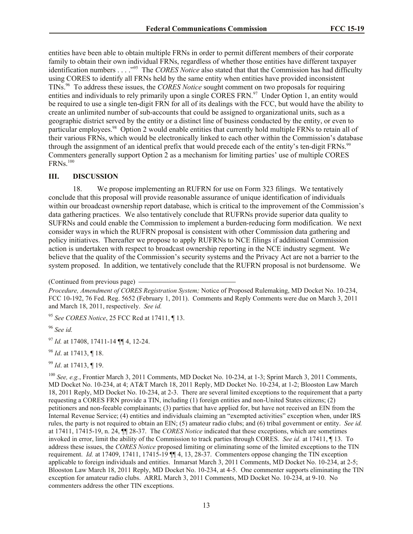entities have been able to obtain multiple FRNs in order to permit different members of their corporate family to obtain their own individual FRNs, regardless of whether those entities have different taxpayer identification numbers . . . .<sup>395</sup> The *CORES Notice* also stated that that the Commission has had difficulty using CORES to identify all FRNs held by the same entity when entities have provided inconsistent TINs. 96 To address these issues, the *CORES Notice* sought comment on two proposals for requiring entities and individuals to rely primarily upon a single CORES FRN.<sup>97</sup> Under Option 1, an entity would be required to use a single ten-digit FRN for all of its dealings with the FCC, but would have the ability to create an unlimited number of sub-accounts that could be assigned to organizational units, such as a geographic district served by the entity or a distinct line of business conducted by the entity, or even to particular employees.<sup>98</sup> Option 2 would enable entities that currently hold multiple FRNs to retain all of their various FRNs, which would be electronically linked to each other within the Commission's database through the assignment of an identical prefix that would precede each of the entity's ten-digit FRNs.<sup>99</sup> Commenters generally support Option 2 as a mechanism for limiting parties' use of multiple CORES  $\text{FRNs.}^{\text{100}}$ 

#### **III. DISCUSSION**

18. We propose implementing an RUFRN for use on Form 323 filings. We tentatively conclude that this proposal will provide reasonable assurance of unique identification of individuals within our broadcast ownership report database, which is critical to the improvement of the Commission's data gathering practices. We also tentatively conclude that RUFRNs provide superior data quality to SUFRNs and could enable the Commission to implement a burden-reducing form modification. We next consider ways in which the RUFRN proposal is consistent with other Commission data gathering and policy initiatives. Thereafter we propose to apply RUFRNs to NCE filings if additional Commission action is undertaken with respect to broadcast ownership reporting in the NCE industry segment. We believe that the quality of the Commission's security systems and the Privacy Act are not a barrier to the system proposed. In addition, we tentatively conclude that the RUFRN proposal is not burdensome. We

<sup>95</sup> *See CORES Notice*, 25 FCC Rcd at 17411, ¶ 13.

<sup>96</sup> *See id.*

<sup>97</sup> *Id.* at 17408, 17411-14 ¶¶ 4, 12-24.

<sup>98</sup> *Id*. at 17413, ¶ 18.

<sup>99</sup> *Id*. at 17413, ¶ 19.

<sup>100</sup> *See, e.g.*, Frontier March 3, 2011 Comments, MD Docket No. 10-234, at 1-3; Sprint March 3, 2011 Comments, MD Docket No. 10-234, at 4; AT&T March 18, 2011 Reply, MD Docket No. 10-234, at 1-2; Blooston Law March 18, 2011 Reply, MD Docket No. 10-234, at 2-3. There are several limited exceptions to the requirement that a party requesting a CORES FRN provide a TIN, including (1) foreign entities and non-United States citizens; (2) petitioners and non-feeable complainants; (3) parties that have applied for, but have not received an EIN from the Internal Revenue Service; (4) entities and individuals claiming an "exempted activities" exception when, under IRS rules, the party is not required to obtain an EIN; (5) amateur radio clubs; and (6) tribal government or entity. *See id.*  at 17411, 17415-19, n. 24, ¶¶ 28-37. The *CORES Notice* indicated that these exceptions, which are sometimes invoked in error, limit the ability of the Commission to track parties through CORES. *See id.* at 17411, ¶ 13. To address these issues, the *CORES Notice* proposed limiting or eliminating some of the limited exceptions to the TIN requirement. *Id.* at 17409, 17411, 17415-19 ¶¶ 4, 13, 28-37. Commenters oppose changing the TIN exception applicable to foreign individuals and entities. Inmarsat March 3, 2011 Comments, MD Docket No. 10-234, at 2-5; Blooston Law March 18, 2011 Reply, MD Docket No. 10-234, at 4-5. One commenter supports eliminating the TIN exception for amateur radio clubs. ARRL March 3, 2011 Comments, MD Docket No. 10-234, at 9-10. No commenters address the other TIN exceptions.

<sup>(</sup>Continued from previous page)

*Procedure, Amendment of CORES Registration System;* Notice of Proposed Rulemaking, MD Docket No. 10-234, FCC 10-192, 76 Fed. Reg. 5652 (February 1, 2011). Comments and Reply Comments were due on March 3, 2011 and March 18, 2011, respectively. *See id.*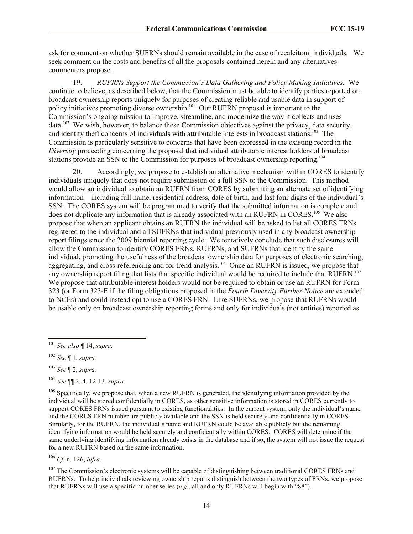ask for comment on whether SUFRNs should remain available in the case of recalcitrant individuals. We seek comment on the costs and benefits of all the proposals contained herein and any alternatives commenters propose.

19. *RUFRNs Support the Commission's Data Gathering and Policy Making Initiatives.* We continue to believe, as described below, that the Commission must be able to identify parties reported on broadcast ownership reports uniquely for purposes of creating reliable and usable data in support of policy initiatives promoting diverse ownership.<sup>101</sup> Our RUFRN proposal is important to the Commission's ongoing mission to improve, streamline, and modernize the way it collects and uses data.<sup>102</sup> We wish, however, to balance these Commission objectives against the privacy, data security, and identity theft concerns of individuals with attributable interests in broadcast stations.<sup>103</sup> The Commission is particularly sensitive to concerns that have been expressed in the existing record in the *Diversity* proceeding concerning the proposal that individual attributable interest holders of broadcast stations provide an SSN to the Commission for purposes of broadcast ownership reporting.<sup>104</sup>

20. Accordingly, we propose to establish an alternative mechanism within CORES to identify individuals uniquely that does not require submission of a full SSN to the Commission. This method would allow an individual to obtain an RUFRN from CORES by submitting an alternate set of identifying information – including full name, residential address, date of birth, and last four digits of the individual's SSN. The CORES system will be programmed to verify that the submitted information is complete and does not duplicate any information that is already associated with an RUFRN in CORES.<sup>105</sup> We also propose that when an applicant obtains an RUFRN the individual will be asked to list all CORES FRNs registered to the individual and all SUFRNs that individual previously used in any broadcast ownership report filings since the 2009 biennial reporting cycle. We tentatively conclude that such disclosures will allow the Commission to identify CORES FRNs, RUFRNs, and SUFRNs that identify the same individual, promoting the usefulness of the broadcast ownership data for purposes of electronic searching, aggregating, and cross-referencing and for trend analysis.<sup>106</sup> Once an RUFRN is issued, we propose that any ownership report filing that lists that specific individual would be required to include that RUFRN.<sup>107</sup> We propose that attributable interest holders would not be required to obtain or use an RUFRN for Form 323 (or Form 323-E if the filing obligations proposed in the *Fourth Diversity Further Notice* are extended to NCEs) and could instead opt to use a CORES FRN. Like SUFRNs, we propose that RUFRNs would be usable only on broadcast ownership reporting forms and only for individuals (not entities) reported as

l

<sup>106</sup> *Cf.* n. 126, *infra*.

<sup>107</sup> The Commission's electronic systems will be capable of distinguishing between traditional CORES FRNs and RUFRNs. To help individuals reviewing ownership reports distinguish between the two types of FRNs, we propose that RUFRNs will use a specific number series (*e.g.*, all and only RUFRNs will begin with "88").

<sup>101</sup> *See also* ¶ 14, *supra.*

<sup>102</sup> *See* ¶ 1, *supra.*

<sup>103</sup> *See* ¶ 2, *supra.*

<sup>104</sup> *See* ¶¶ 2, 4, 12-13, *supra.*

<sup>&</sup>lt;sup>105</sup> Specifically, we propose that, when a new RUFRN is generated, the identifying information provided by the individual will be stored confidentially in CORES, as other sensitive information is stored in CORES currently to support CORES FRNs issued pursuant to existing functionalities. In the current system, only the individual's name and the CORES FRN number are publicly available and the SSN is held securely and confidentially in CORES. Similarly, for the RUFRN, the individual's name and RUFRN could be available publicly but the remaining identifying information would be held securely and confidentially within CORES. CORES will determine if the same underlying identifying information already exists in the database and if so, the system will not issue the request for a new RUFRN based on the same information.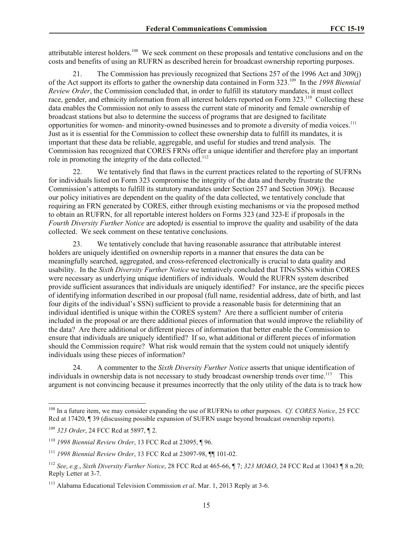attributable interest holders.<sup>108</sup> We seek comment on these proposals and tentative conclusions and on the costs and benefits of using an RUFRN as described herein for broadcast ownership reporting purposes.

21. The Commission has previously recognized that Sections 257 of the 1996 Act and 309(j) of the Act support its efforts to gather the ownership data contained in Form 323.<sup>109</sup> In the *1998 Biennial Review Order*, the Commission concluded that, in order to fulfill its statutory mandates, it must collect race, gender, and ethnicity information from all interest holders reported on Form 323.<sup>110</sup> Collecting these data enables the Commission not only to assess the current state of minority and female ownership of broadcast stations but also to determine the success of programs that are designed to facilitate opportunities for women- and minority-owned businesses and to promote a diversity of media voices.<sup>111</sup> Just as it is essential for the Commission to collect these ownership data to fulfill its mandates, it is important that these data be reliable, aggregable, and useful for studies and trend analysis. The Commission has recognized that CORES FRNs offer a unique identifier and therefore play an important role in promoting the integrity of the data collected.<sup>112</sup>

22. We tentatively find that flaws in the current practices related to the reporting of SUFRNs for individuals listed on Form 323 compromise the integrity of the data and thereby frustrate the Commission's attempts to fulfill its statutory mandates under Section 257 and Section 309(j). Because our policy initiatives are dependent on the quality of the data collected, we tentatively conclude that requiring an FRN generated by CORES, either through existing mechanisms or via the proposed method to obtain an RUFRN, for all reportable interest holders on Forms 323 (and 323-E if proposals in the *Fourth Diversity Further Notice* are adopted*)* is essential to improve the quality and usability of the data collected. We seek comment on these tentative conclusions.

23. We tentatively conclude that having reasonable assurance that attributable interest holders are uniquely identified on ownership reports in a manner that ensures the data can be meaningfully searched, aggregated, and cross-referenced electronically is crucial to data quality and usability. In the *Sixth Diversity Further Notice* we tentatively concluded that TINs/SSNs within CORES were necessary as underlying unique identifiers of individuals. Would the RUFRN system described provide sufficient assurances that individuals are uniquely identified? For instance, are the specific pieces of identifying information described in our proposal (full name, residential address, date of birth, and last four digits of the individual's SSN) sufficient to provide a reasonable basis for determining that an individual identified is unique within the CORES system? Are there a sufficient number of criteria included in the proposal or are there additional pieces of information that would improve the reliability of the data? Are there additional or different pieces of information that better enable the Commission to ensure that individuals are uniquely identified? If so, what additional or different pieces of information should the Commission require? What risk would remain that the system could not uniquely identify individuals using these pieces of information?

24. A commenter to the *Sixth Diversity Further Notice* asserts that unique identification of individuals in ownership data is not necessary to study broadcast ownership trends over time.<sup>113</sup> This argument is not convincing because it presumes incorrectly that the only utility of the data is to track how

l

<sup>108</sup> In a future item, we may consider expanding the use of RUFRNs to other purposes. *Cf. CORES Notice*, 25 FCC Rcd at 17420, ¶ 39 (discussing possible expansion of SUFRN usage beyond broadcast ownership reports).

<sup>109</sup> *323 Order*, 24 FCC Rcd at 5897, ¶ 2.

<sup>110</sup> *1998 Biennial Review Order*, 13 FCC Rcd at 23095, ¶ 96.

<sup>111</sup> *1998 Biennial Review Order*, 13 FCC Rcd at 23097-98, ¶¶ 101-02.

<sup>112</sup> *See*, *e.g.*, *Sixth Diversity Further Notice*, 28 FCC Rcd at 465-66, ¶ 7; *323 MO&O*, 24 FCC Rcd at 13043 ¶ 8 n.20; Reply Letter at 3-7.

<sup>113</sup> Alabama Educational Television Commission *et al*. Mar. 1, 2013 Reply at 3-6.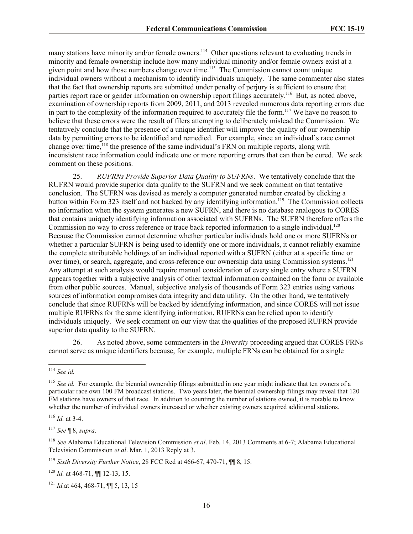many stations have minority and/or female owners.<sup>114</sup> Other questions relevant to evaluating trends in minority and female ownership include how many individual minority and/or female owners exist at a given point and how those numbers change over time. 115 The Commission cannot count unique individual owners without a mechanism to identify individuals uniquely. The same commenter also states that the fact that ownership reports are submitted under penalty of perjury is sufficient to ensure that parties report race or gender information on ownership report filings accurately.<sup>116</sup> But, as noted above, examination of ownership reports from 2009, 2011, and 2013 revealed numerous data reporting errors due in part to the complexity of the information required to accurately file the form.<sup>117</sup> We have no reason to believe that these errors were the result of filers attempting to deliberately mislead the Commission. We tentatively conclude that the presence of a unique identifier will improve the quality of our ownership data by permitting errors to be identified and remedied. For example, since an individual's race cannot change over time,<sup>118</sup> the presence of the same individual's FRN on multiple reports, along with inconsistent race information could indicate one or more reporting errors that can then be cured. We seek comment on these positions.

25. *RUFRNs Provide Superior Data Quality to SUFRNs*.We tentatively conclude that the RUFRN would provide superior data quality to the SUFRN and we seek comment on that tentative conclusion. The SUFRN was devised as merely a computer generated number created by clicking a button within Form 323 itself and not backed by any identifying information.<sup>119</sup> The Commission collects no information when the system generates a new SUFRN, and there is no database analogous to CORES that contains uniquely identifying information associated with SUFRNs. The SUFRN therefore offers the Commission no way to cross reference or trace back reported information to a single individual.<sup>120</sup> Because the Commission cannot determine whether particular individuals hold one or more SUFRNs or whether a particular SUFRN is being used to identify one or more individuals, it cannot reliably examine the complete attributable holdings of an individual reported with a SUFRN (either at a specific time or over time), or search, aggregate, and cross-reference our ownership data using Commission systems.<sup>121</sup> Any attempt at such analysis would require manual consideration of every single entry where a SUFRN appears together with a subjective analysis of other textual information contained on the form or available from other public sources. Manual, subjective analysis of thousands of Form 323 entries using various sources of information compromises data integrity and data utility. On the other hand, we tentatively conclude that since RUFRNs will be backed by identifying information, and since CORES will not issue multiple RUFRNs for the same identifying information, RUFRNs can be relied upon to identify individuals uniquely. We seek comment on our view that the qualities of the proposed RUFRN provide superior data quality to the SUFRN.

26. As noted above, some commenters in the *Diversity* proceeding argued that CORES FRNs cannot serve as unique identifiers because, for example, multiple FRNs can be obtained for a single

 $\overline{a}$ 

 $116$  *Id.* at 3-4.

<sup>117</sup> *See* ¶ 8, *supra*.

<sup>114</sup> *See id.*

<sup>&</sup>lt;sup>115</sup> See id. For example, the biennial ownership filings submitted in one year might indicate that ten owners of a particular race own 100 FM broadcast stations. Two years later, the biennial ownership filings may reveal that 120 FM stations have owners of that race. In addition to counting the number of stations owned, it is notable to know whether the number of individual owners increased or whether existing owners acquired additional stations.

<sup>118</sup> *See* Alabama Educational Television Commission *et al*. Feb. 14, 2013 Comments at 6-7; Alabama Educational Television Commission *et al*. Mar. 1, 2013 Reply at 3.

<sup>119</sup> *Sixth Diversity Further Notice*, 28 FCC Rcd at 466-67, 470-71, ¶¶ 8, 15.

<sup>120</sup> *Id.* at 468-71, ¶¶ 12-13, 15.

<sup>121</sup> *Id.*at 464, 468-71, ¶¶ 5, 13, 15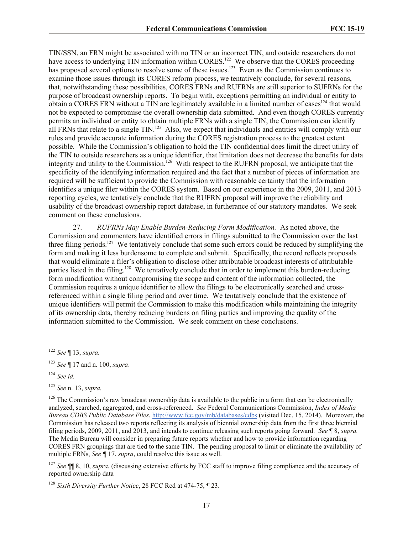TIN/SSN, an FRN might be associated with no TIN or an incorrect TIN, and outside researchers do not have access to underlying TIN information within CORES.<sup>122</sup> We observe that the CORES proceeding has proposed several options to resolve some of these issues.<sup>123</sup> Even as the Commission continues to examine those issues through its CORES reform process, we tentatively conclude, for several reasons, that, notwithstanding these possibilities, CORES FRNs and RUFRNs are still superior to SUFRNs for the purpose of broadcast ownership reports. To begin with, exceptions permitting an individual or entity to obtain a CORES FRN without a TIN are legitimately available in a limited number of cases<sup>124</sup> that would not be expected to compromise the overall ownership data submitted. And even though CORES currently permits an individual or entity to obtain multiple FRNs with a single TIN, the Commission can identify all FRNs that relate to a single TIN.<sup>125</sup> Also, we expect that individuals and entities will comply with our rules and provide accurate information during the CORES registration process to the greatest extent possible. While the Commission's obligation to hold the TIN confidential does limit the direct utility of the TIN to outside researchers as a unique identifier, that limitation does not decrease the benefits for data integrity and utility to the Commission.<sup>126</sup> With respect to the RUFRN proposal, we anticipate that the specificity of the identifying information required and the fact that a number of pieces of information are required will be sufficient to provide the Commission with reasonable certainty that the information identifies a unique filer within the CORES system. Based on our experience in the 2009, 2011, and 2013 reporting cycles, we tentatively conclude that the RUFRN proposal will improve the reliability and usability of the broadcast ownership report database, in furtherance of our statutory mandates. We seek comment on these conclusions.

27. *RUFRNs May Enable Burden-Reducing Form Modification.* As noted above, the Commission and commenters have identified errors in filings submitted to the Commission over the last three filing periods.<sup>127</sup> We tentatively conclude that some such errors could be reduced by simplifying the form and making it less burdensome to complete and submit. Specifically, the record reflects proposals that would eliminate a filer's obligation to disclose other attributable broadcast interests of attributable parties listed in the filing.<sup>128</sup> We tentatively conclude that in order to implement this burden-reducing form modification without compromising the scope and content of the information collected, the Commission requires a unique identifier to allow the filings to be electronically searched and crossreferenced within a single filing period and over time. We tentatively conclude that the existence of unique identifiers will permit the Commission to make this modification while maintaining the integrity of its ownership data, thereby reducing burdens on filing parties and improving the quality of the information submitted to the Commission. We seek comment on these conclusions.

 $\overline{\phantom{a}}$ 

<sup>127</sup> *See* ¶¶ 8, 10, *supra.* (discussing extensive efforts by FCC staff to improve filing compliance and the accuracy of reported ownership data

<sup>122</sup> *See* ¶ 13, *supra.*

<sup>123</sup> *See* ¶ 17 and n. 100, *supra*.

<sup>124</sup> *See id.*

<sup>125</sup> *See* n. 13, *supra.*

 $126$  The Commission's raw broadcast ownership data is available to the public in a form that can be electronically analyzed, searched, aggregated, and cross-referenced. *See* Federal Communications Commission, *Index of Media Bureau CDBS Public Database Files*, http://www.fcc.gov/mb/databases/cdbs (visited Dec. 15, 2014). Moreover, the Commission has released two reports reflecting its analysis of biennial ownership data from the first three biennial filing periods, 2009, 2011, and 2013, and intends to continue releasing such reports going forward. *See* ¶ 8, *supra.*  The Media Bureau will consider in preparing future reports whether and how to provide information regarding CORES FRN groupings that are tied to the same TIN. The pending proposal to limit or eliminate the availability of multiple FRNs, *See ¶* 17, *supra*, could resolve this issue as well.

<sup>128</sup> *Sixth Diversity Further Notice*, 28 FCC Rcd at 474-75, ¶ 23.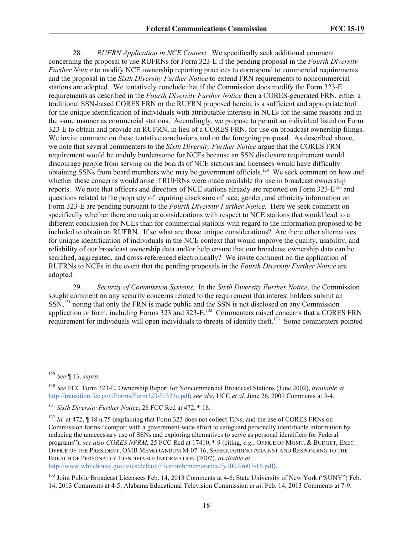28. *RUFRN Application in NCE Context.* We specifically seek additional comment concerning the proposal to use RUFRNs for Form 323-E if the pending proposal in the *Fourth Diversity Further Notice* to modify NCE ownership reporting practices to correspond to commercial requirements and the proposal in the *Sixth Diversity Further Notice* to extend FRN requirements to noncommercial stations are adopted. We tentatively conclude that if the Commission does modify the Form 323-E requirements as described in the *Fourth Diversity Further Notice* then a CORES-generated FRN, either a traditional SSN-based CORES FRN or the RUFRN proposed herein, is a sufficient and appropriate tool for the unique identification of individuals with attributable interests in NCEs for the same reasons and in the same manner as commercial stations. Accordingly, we propose to permit an individual listed on Form 323-E to obtain and provide an RUFRN, in lieu of a CORES FRN, for use on broadcast ownership filings. We invite comment on these tentative conclusions and on the foregoing proposal. As described above, we note that several commenters to the *Sixth Diversity Further Notice* argue that the CORES FRN requirement would be unduly burdensome for NCEs because an SSN disclosure requirement would discourage people from serving on the boards of NCE stations and licensees would have difficulty obtaining SSNs from board members who may be government officials.<sup>129</sup> We seek comment on how and whether these concerns would arise if RUFRNs were made available for use in broadcast ownership reports. We note that officers and directors of NCE stations already are reported on Form  $323$ - $E^{130}$  and questions related to the propriety of requiring disclosure of race, gender, and ethnicity information on Form 323-E are pending pursuant to the *Fourth Diversity Further Notice.* Here we seek comment on specifically whether there are unique considerations with respect to NCE stations that would lead to a different conclusion for NCEs than for commercial stations with regard to the information proposed to be included to obtain an RUFRN. If so what are those unique considerations? Are there other alternatives for unique identification of individuals in the NCE context that would improve the quality, usability, and reliability of our broadcast ownership data and/or help ensure that our broadcast ownership data can be searched, aggregated, and cross-referenced electronically? We invite comment on the application of RUFRNs to NCEs in the event that the pending proposals in the *Fourth Diversity Further Notice* are adopted.

29. *Security of Commission Systems.* In the *Sixth Diversity Further Notice*, the Commission sought comment on any security concerns related to the requirement that interest holders submit an SSN,<sup>131</sup> noting that only the FRN is made public and the SSN is not disclosed on any Commission application or form, including Forms 323 and 323-E.<sup>132</sup> Commenters raised concerns that a CORES FRN requirement for individuals will open individuals to threats of identity theft.<sup>133</sup> Some commenters pointed

l <sup>129</sup> *See* ¶ 13, *supra*.

<sup>130</sup> *See* FCC Form 323-E, Ownership Report for Noncommercial Broadcast Stations (June 2002), *available at* http://transition.fcc.gov/Forms/Form323-E/323e.pdf; *see also* UCC *et al.* June 26, 2009 Comments at 3-4.

<sup>131</sup> *Sixth Diversity Further Notice*, 28 FCC Rcd at 472, ¶ 18.

<sup>&</sup>lt;sup>132</sup> *Id.* at 472, ¶ 18 n.75 (explaining that Form 323 does not collect TINs, and the use of CORES FRNs on Commission forms "comport with a government-wide effort to safeguard personally identifiable information by reducing the unnecessary use of SSNs and exploring alternatives to serve as personal identifiers for Federal programs"); *see also CORES NPRM*, 25 FCC Rcd at 17410, ¶ 9 (citing, *e.g.*, OFFICE OF MGMT. & BUDGET, EXEC. OFFICE OF THE PRESIDENT, OMB MEMORANDUM M-07-16, SAFEGUARDING AGAINST AND RESPONDING TO THE BREACH OF PERSONALLY IDENTIFIABLE INFORMATION (2007), *available at*  http://www.whitehouse.gov/sites/default/files/omb/memoranda/fy2007/m07-16.pdf).

<sup>&</sup>lt;sup>133</sup> Joint Public Broadcast Licensees Feb. 14, 2013 Comments at 4-6; State University of New York ("SUNY") Feb. 14, 2013 Comments at 4-5; Alabama Educational Television Commission *et al*. Feb. 14, 2013 Comments at 7-9.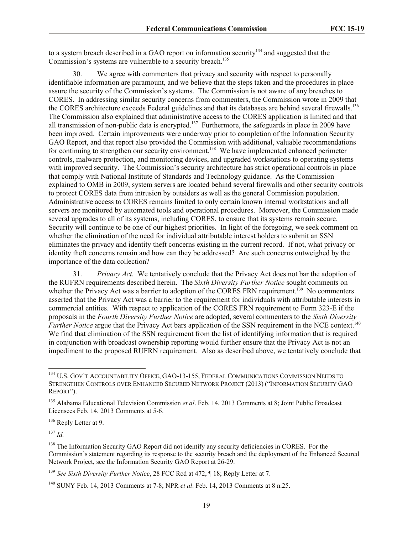to a system breach described in a GAO report on information security<sup>134</sup> and suggested that the Commission's systems are vulnerable to a security breach.<sup>135</sup>

30. We agree with commenters that privacy and security with respect to personally identifiable information are paramount, and we believe that the steps taken and the procedures in place assure the security of the Commission's systems. The Commission is not aware of any breaches to CORES. In addressing similar security concerns from commenters, the Commission wrote in 2009 that the CORES architecture exceeds Federal guidelines and that its databases are behind several firewalls.<sup>136</sup> The Commission also explained that administrative access to the CORES application is limited and that all transmission of non-public data is encrypted.<sup>137</sup> Furthermore, the safeguards in place in 2009 have been improved. Certain improvements were underway prior to completion of the Information Security GAO Report, and that report also provided the Commission with additional, valuable recommendations for continuing to strengthen our security environment.<sup>138</sup> We have implemented enhanced perimeter controls, malware protection, and monitoring devices, and upgraded workstations to operating systems with improved security. The Commission's security architecture has strict operational controls in place that comply with National Institute of Standards and Technology guidance. As the Commission explained to OMB in 2009, system servers are located behind several firewalls and other security controls to protect CORES data from intrusion by outsiders as well as the general Commission population. Administrative access to CORES remains limited to only certain known internal workstations and all servers are monitored by automated tools and operational procedures. Moreover, the Commission made several upgrades to all of its systems, including CORES, to ensure that its systems remain secure. Security will continue to be one of our highest priorities. In light of the foregoing, we seek comment on whether the elimination of the need for individual attributable interest holders to submit an SSN eliminates the privacy and identity theft concerns existing in the current record. If not, what privacy or identity theft concerns remain and how can they be addressed? Are such concerns outweighed by the importance of the data collection?

31. *Privacy Act.* We tentatively conclude that the Privacy Act does not bar the adoption of the RUFRN requirements described herein. The *Sixth Diversity Further Notice* sought comments on whether the Privacy Act was a barrier to adoption of the CORES FRN requirement.<sup>139</sup> No commenters asserted that the Privacy Act was a barrier to the requirement for individuals with attributable interests in commercial entities. With respect to application of the CORES FRN requirement to Form 323-E if the proposals in the *Fourth Diversity Further Notice* are adopted, several commenters to the *Sixth Diversity Further Notice* argue that the Privacy Act bars application of the SSN requirement in the NCE context.<sup>140</sup> We find that elimination of the SSN requirement from the list of identifying information that is required in conjunction with broadcast ownership reporting would further ensure that the Privacy Act is not an impediment to the proposed RUFRN requirement. Also as described above, we tentatively conclude that

<sup>136</sup> Reply Letter at 9.

 $137$  *Id.* 

 $\overline{a}$ 

<sup>&</sup>lt;sup>134</sup> U.S. GOV'T ACCOUNTABILITY OFFICE, GAO-13-155, FEDERAL COMMUNICATIONS COMMISSION NEEDS TO STRENGTHEN CONTROLS OVER ENHANCED SECURED NETWORK PROJECT (2013) ("INFORMATION SECURITY GAO REPORT").

<sup>135</sup> Alabama Educational Television Commission *et al*. Feb. 14, 2013 Comments at 8; Joint Public Broadcast Licensees Feb. 14, 2013 Comments at 5-6.

<sup>&</sup>lt;sup>138</sup> The Information Security GAO Report did not identify any security deficiencies in CORES. For the Commission's statement regarding its response to the security breach and the deployment of the Enhanced Secured Network Project, see the Information Security GAO Report at 26-29.

<sup>139</sup> *See Sixth Diversity Further Notice*, 28 FCC Rcd at 472, ¶ 18; Reply Letter at 7.

<sup>140</sup> SUNY Feb. 14, 2013 Comments at 7-8; NPR *et al*. Feb. 14, 2013 Comments at 8 n.25.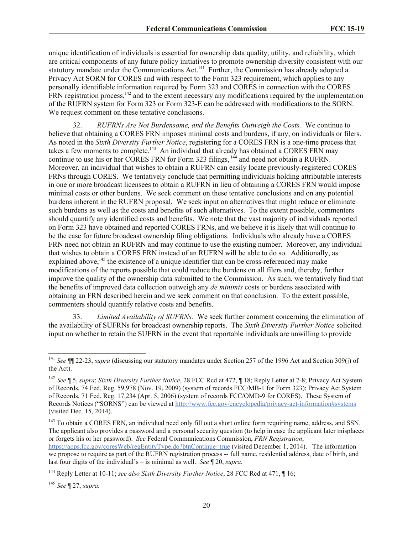unique identification of individuals is essential for ownership data quality, utility, and reliability, which are critical components of any future policy initiatives to promote ownership diversity consistent with our statutory mandate under the Communications Act.<sup>141</sup> Further, the Commission has already adopted a Privacy Act SORN for CORES and with respect to the Form 323 requirement, which applies to any personally identifiable information required by Form 323 and CORES in connection with the CORES FRN registration process,<sup>142</sup> and to the extent necessary any modifications required by the implementation of the RUFRN system for Form 323 or Form 323-E can be addressed with modifications to the SORN. We request comment on these tentative conclusions.

32. *RUFRNs Are Not Burdensome, and the Benefits Outweigh the Costs.* We continue to believe that obtaining a CORES FRN imposes minimal costs and burdens, if any, on individuals or filers. As noted in the *Sixth Diversity Further Notice*, registering for a CORES FRN is a one-time process that takes a few moments to complete.<sup>143</sup> An individual that already has obtained a CORES FRN may continue to use his or her CORES FRN for Form 323 filings, <sup>144</sup> and need not obtain a RUFRN. Moreover, an individual that wishes to obtain a RUFRN can easily locate previously-registered CORES FRNs through CORES. We tentatively conclude that permitting individuals holding attributable interests in one or more broadcast licensees to obtain a RUFRN in lieu of obtaining a CORES FRN would impose minimal costs or other burdens. We seek comment on these tentative conclusions and on any potential burdens inherent in the RUFRN proposal. We seek input on alternatives that might reduce or eliminate such burdens as well as the costs and benefits of such alternatives. To the extent possible, commenters should quantify any identified costs and benefits. We note that the vast majority of individuals reported on Form 323 have obtained and reported CORES FRNs, and we believe it is likely that will continue to be the case for future broadcast ownership filing obligations. Individuals who already have a CORES FRN need not obtain an RUFRN and may continue to use the existing number. Moreover, any individual that wishes to obtain a CORES FRN instead of an RUFRN will be able to do so. Additionally, as explained above, $145$  the existence of a unique identifier that can be cross-referenced may make modifications of the reports possible that could reduce the burdens on all filers and, thereby, further improve the quality of the ownership data submitted to the Commission. As such, we tentatively find that the benefits of improved data collection outweigh any *de minimis* costs or burdens associated with obtaining an FRN described herein and we seek comment on that conclusion. To the extent possible, commenters should quantify relative costs and benefits.

33. *Limited Availability of SUFRNs.* We seek further comment concerning the elimination of the availability of SUFRNs for broadcast ownership reports. The *Sixth Diversity Further Notice* solicited input on whether to retain the SUFRN in the event that reportable individuals are unwilling to provide

last four digits of the individual's – is minimal as well. *See* ¶ 20, *supra.*

 $\overline{\phantom{a}}$ 

<sup>141</sup> *See* ¶¶ 22-23, *supra* (discussing our statutory mandates under Section 257 of the 1996 Act and Section 309(j) of the Act).

<sup>142</sup> *See* ¶ 5, *supra*; *Sixth Diversity Further Notice*, 28 FCC Rcd at 472, ¶ 18; Reply Letter at 7-8; Privacy Act System of Records, 74 Fed. Reg. 59,978 (Nov. 19, 2009) (system of records FCC/MB-1 for Form 323); Privacy Act System of Records, 71 Fed. Reg. 17,234 (Apr. 5, 2006) (system of records FCC/OMD-9 for CORES). These System of Records Notices ("SORNS") can be viewed at http://www.fcc.gov/encyclopedia/privacy-act-information#systems (visited Dec. 15, 2014).

<sup>&</sup>lt;sup>143</sup> To obtain a CORES FRN, an individual need only fill out a short online form requiring name, address, and SSN. The applicant also provides a password and a personal security question (to help in case the applicant later misplaces or forgets his or her password). *See* Federal Communications Commission, *FRN Registration*, https://apps.fcc.gov/coresWeb/regEntityType.do?btnContinue=true (visited December 1, 2014). The information we propose to require as part of the RUFRN registration process -- full name, residential address, date of birth, and

<sup>144</sup> Reply Letter at 10-11; *see also Sixth Diversity Further Notice*, 28 FCC Rcd at 471, ¶ 16;

<sup>145</sup> *See* ¶ 27, *supra.*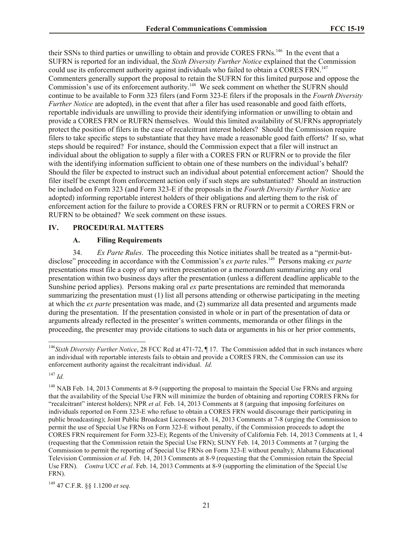their SSNs to third parties or unwilling to obtain and provide CORES FRNs.<sup>146</sup> In the event that a SUFRN is reported for an individual, the *Sixth Diversity Further Notice* explained that the Commission could use its enforcement authority against individuals who failed to obtain a CORES FRN.<sup>147</sup> Commenters generally support the proposal to retain the SUFRN for this limited purpose and oppose the Commission's use of its enforcement authority.<sup>148</sup> We seek comment on whether the SUFRN should continue to be available to Form 323 filers (and Form 323-E filers if the proposals in the *Fourth Diversity Further Notice* are adopted), in the event that after a filer has used reasonable and good faith efforts, reportable individuals are unwilling to provide their identifying information or unwilling to obtain and provide a CORES FRN or RUFRN themselves. Would this limited availability of SUFRNs appropriately protect the position of filers in the case of recalcitrant interest holders? Should the Commission require filers to take specific steps to substantiate that they have made a reasonable good faith efforts? If so, what steps should be required? For instance, should the Commission expect that a filer will instruct an individual about the obligation to supply a filer with a CORES FRN or RUFRN or to provide the filer with the identifying information sufficient to obtain one of these numbers on the individual's behalf? Should the filer be expected to instruct such an individual about potential enforcement action? Should the filer itself be exempt from enforcement action only if such steps are substantiated? Should an instruction be included on Form 323 (and Form 323-E if the proposals in the *Fourth Diversity Further Notice* are adopted) informing reportable interest holders of their obligations and alerting them to the risk of enforcement action for the failure to provide a CORES FRN or RUFRN or to permit a CORES FRN or RUFRN to be obtained? We seek comment on these issues.

#### **IV. PROCEDURAL MATTERS**

#### **A. Filing Requirements**

34. *Ex Parte Rules*. The proceeding this Notice initiates shall be treated as a "permit-butdisclose" proceeding in accordance with the Commission's *ex parte* rules.<sup>149</sup> Persons making *ex parte* presentations must file a copy of any written presentation or a memorandum summarizing any oral presentation within two business days after the presentation (unless a different deadline applicable to the Sunshine period applies). Persons making oral *ex* parte presentations are reminded that memoranda summarizing the presentation must (1) list all persons attending or otherwise participating in the meeting at which the *ex parte* presentation was made, and (2) summarize all data presented and arguments made during the presentation. If the presentation consisted in whole or in part of the presentation of data or arguments already reflected in the presenter's written comments, memoranda or other filings in the proceeding, the presenter may provide citations to such data or arguments in his or her prior comments,

l

<sup>&</sup>lt;sup>146</sup>Sixth Diversity Further Notice, 28 FCC Rcd at 471-72, ¶ 17. The Commission added that in such instances where an individual with reportable interests fails to obtain and provide a CORES FRN, the Commission can use its enforcement authority against the recalcitrant individual. *Id.*

<sup>147</sup> *Id.*

<sup>&</sup>lt;sup>148</sup> NAB Feb. 14, 2013 Comments at 8-9 (supporting the proposal to maintain the Special Use FRNs and arguing that the availability of the Special Use FRN will minimize the burden of obtaining and reporting CORES FRNs for "recalcitrant" interest holders); NPR *et al.* Feb. 14, 2013 Comments at 8 (arguing that imposing forfeitures on individuals reported on Form 323-E who refuse to obtain a CORES FRN would discourage their participating in public broadcasting); Joint Public Broadcast Licensees Feb. 14, 2013 Comments at 7-8 (urging the Commission to permit the use of Special Use FRNs on Form 323-E without penalty, if the Commission proceeds to adopt the CORES FRN requirement for Form 323-E); Regents of the University of California Feb. 14, 2013 Comments at 1, 4 (requesting that the Commission retain the Special Use FRN); SUNY Feb. 14, 2013 Comments at 7 (urging the Commission to permit the reporting of Special Use FRNs on Form 323-E without penalty); Alabama Educational Television Commission *et al.* Feb. 14, 2013 Comments at 8-9 (requesting that the Commission retain the Special Use FRN). *Contra* UCC *et al.* Feb. 14, 2013 Comments at 8-9 (supporting the elimination of the Special Use FRN).

<sup>149</sup> 47 C.F.R. §§ 1.1200 *et seq.*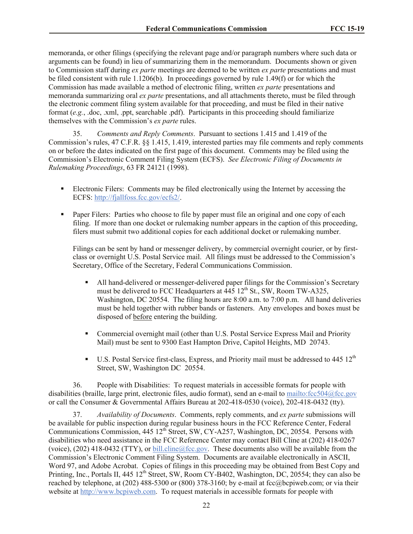memoranda, or other filings (specifying the relevant page and/or paragraph numbers where such data or arguments can be found) in lieu of summarizing them in the memorandum. Documents shown or given to Commission staff during *ex parte* meetings are deemed to be written *ex parte* presentations and must be filed consistent with rule 1.1206(b). In proceedings governed by rule 1.49(f) or for which the Commission has made available a method of electronic filing, written *ex parte* presentations and memoranda summarizing oral *ex parte* presentations, and all attachments thereto, must be filed through the electronic comment filing system available for that proceeding, and must be filed in their native format (*e.g.*, .doc, .xml, .ppt, searchable .pdf). Participants in this proceeding should familiarize themselves with the Commission's *ex parte* rules.

35. *Comments and Reply Comments*. Pursuant to sections 1.415 and 1.419 of the Commission's rules, 47 C.F.R. §§ 1.415, 1.419, interested parties may file comments and reply comments on or before the dates indicated on the first page of this document. Comments may be filed using the Commission's Electronic Comment Filing System (ECFS). *See Electronic Filing of Documents in Rulemaking Proceedings*, 63 FR 24121 (1998).

- Electronic Filers: Comments may be filed electronically using the Internet by accessing the ECFS: http://fjallfoss.fcc.gov/ecfs2/.
- **Paper Filers:** Parties who choose to file by paper must file an original and one copy of each filing. If more than one docket or rulemaking number appears in the caption of this proceeding, filers must submit two additional copies for each additional docket or rulemaking number.

Filings can be sent by hand or messenger delivery, by commercial overnight courier, or by firstclass or overnight U.S. Postal Service mail. All filings must be addressed to the Commission's Secretary, Office of the Secretary, Federal Communications Commission.

- All hand-delivered or messenger-delivered paper filings for the Commission's Secretary must be delivered to FCC Headquarters at  $445 \times 12^{th}$  St., SW, Room TW-A325, Washington, DC 20554. The filing hours are 8:00 a.m. to 7:00 p.m. All hand deliveries must be held together with rubber bands or fasteners. Any envelopes and boxes must be disposed of before entering the building.
- Commercial overnight mail (other than U.S. Postal Service Express Mail and Priority Mail) must be sent to 9300 East Hampton Drive, Capitol Heights, MD 20743.
- U.S. Postal Service first-class, Express, and Priority mail must be addressed to  $445 \times 12^{th}$ Street, SW, Washington DC 20554.

36. People with Disabilities: To request materials in accessible formats for people with disabilities (braille, large print, electronic files, audio format), send an e-mail to mailto:fcc504@fcc.gov or call the Consumer & Governmental Affairs Bureau at 202-418-0530 (voice), 202-418-0432 (tty).

37. *Availability of Documents*. Comments, reply comments, and *ex parte* submissions will be available for public inspection during regular business hours in the FCC Reference Center, Federal Communications Commission, 445 12<sup>th</sup> Street, SW, CY-A257, Washington, DC, 20554. Persons with disabilities who need assistance in the FCC Reference Center may contact Bill Cline at (202) 418-0267 (voice), (202) 418-0432 (TTY), or bill.cline@fcc.gov. These documents also will be available from the Commission's Electronic Comment Filing System. Documents are available electronically in ASCII, Word 97, and Adobe Acrobat. Copies of filings in this proceeding may be obtained from Best Copy and Printing, Inc., Portals II, 445 12<sup>th</sup> Street, SW, Room CY-B402, Washington, DC, 20554; they can also be reached by telephone, at (202) 488-5300 or (800) 378-3160; by e-mail at fcc@bcpiweb.com; or via their website at http://www.bcpiweb.com. To request materials in accessible formats for people with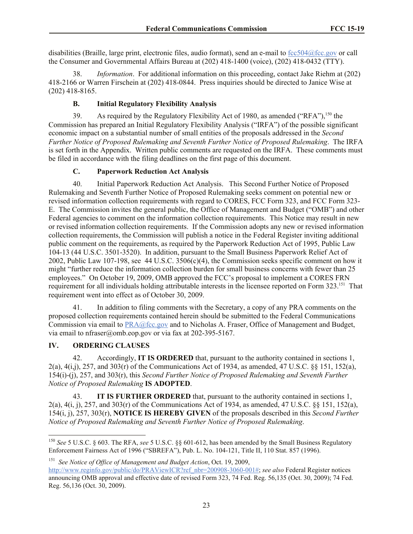disabilities (Braille, large print, electronic files, audio format), send an e-mail to fcc504@fcc.gov or call the Consumer and Governmental Affairs Bureau at (202) 418-1400 (voice), (202) 418-0432 (TTY).

38. *Information*. For additional information on this proceeding, contact Jake Riehm at (202) 418-2166 or Warren Firschein at (202) 418-0844. Press inquiries should be directed to Janice Wise at (202) 418-8165.

# **B. Initial Regulatory Flexibility Analysis**

39. As required by the Regulatory Flexibility Act of 1980, as amended ("RFA"),<sup>150</sup> the Commission has prepared an Initial Regulatory Flexibility Analysis ("IRFA") of the possible significant economic impact on a substantial number of small entities of the proposals addressed in the *Second Further Notice of Proposed Rulemaking and Seventh Further Notice of Proposed Rulemaking*. The IRFA is set forth in the Appendix. Written public comments are requested on the IRFA. These comments must be filed in accordance with the filing deadlines on the first page of this document.

### **C. Paperwork Reduction Act Analysis**

40. Initial Paperwork Reduction Act Analysis. This Second Further Notice of Proposed Rulemaking and Seventh Further Notice of Proposed Rulemaking seeks comment on potential new or revised information collection requirements with regard to CORES, FCC Form 323, and FCC Form 323- E. The Commission invites the general public, the Office of Management and Budget ("OMB") and other Federal agencies to comment on the information collection requirements. This Notice may result in new or revised information collection requirements. If the Commission adopts any new or revised information collection requirements, the Commission will publish a notice in the Federal Register inviting additional public comment on the requirements, as required by the Paperwork Reduction Act of 1995, Public Law 104-13 (44 U.S.C. 3501-3520). In addition, pursuant to the Small Business Paperwork Relief Act of 2002, Public Law 107-198, see 44 U.S.C. 3506(c)(4), the Commission seeks specific comment on how it might "further reduce the information collection burden for small business concerns with fewer than 25 employees." On October 19, 2009, OMB approved the FCC's proposal to implement a CORES FRN requirement for all individuals holding attributable interests in the licensee reported on Form 323.<sup>151</sup> That requirement went into effect as of October 30, 2009.

41. In addition to filing comments with the Secretary, a copy of any PRA comments on the proposed collection requirements contained herein should be submitted to the Federal Communications Commission via email to  $PRA@$ fcc.gov and to Nicholas A. Fraser, Office of Management and Budget, via email to nfraser@omb.eop.gov or via fax at 202-395-5167.

### **IV. ORDERING CLAUSES**

42. Accordingly, **IT IS ORDERED** that, pursuant to the authority contained in sections 1, 2(a), 4(i,j), 257, and 303(r) of the Communications Act of 1934, as amended, 47 U.S.C. §§ 151, 152(a), 154(i)-(j), 257, and 303(r), this *Second Further Notice of Proposed Rulemaking and Seventh Further Notice of Proposed Rulemaking* **IS ADOPTED**.

43. **IT IS FURTHER ORDERED** that, pursuant to the authority contained in sections 1, 2(a), 4(i, j), 257, and 303(r) of the Communications Act of 1934, as amended, 47 U.S.C. §§ 151, 152(a), 154(i, j), 257, 303(r), **NOTICE IS HEREBY GIVEN** of the proposals described in this *Second Further Notice of Proposed Rulemaking and Seventh Further Notice of Proposed Rulemaking*.

 $\overline{a}$ <sup>150</sup> *See* 5 U.S.C. § 603. The RFA, *see* 5 U.S.C. §§ 601-612, has been amended by the Small Business Regulatory Enforcement Fairness Act of 1996 ("SBREFA"), Pub. L. No. 104-121, Title II, 110 Stat. 857 (1996).

<sup>151</sup> *See Notice of Office of Management and Budget Action*, Oct. 19, 2009,

http://www.reginfo.gov/public/do/PRAViewICR?ref\_nbr=200908-3060-001#; *see also* Federal Register notices announcing OMB approval and effective date of revised Form 323, 74 Fed. Reg. 56,135 (Oct. 30, 2009); 74 Fed. Reg. 56,136 (Oct. 30, 2009).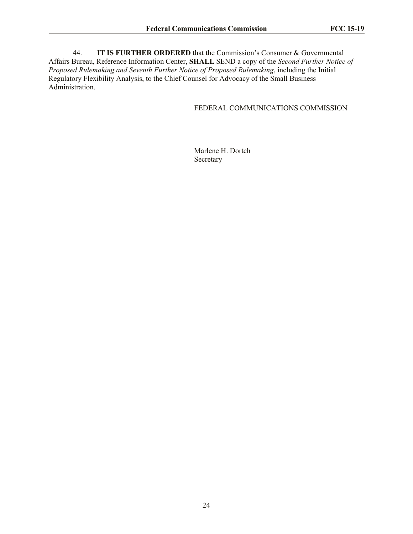44. **IT IS FURTHER ORDERED** that the Commission's Consumer & Governmental Affairs Bureau, Reference Information Center, **SHALL** SEND a copy of the *Second Further Notice of Proposed Rulemaking and Seventh Further Notice of Proposed Rulemaking*, including the Initial Regulatory Flexibility Analysis, to the Chief Counsel for Advocacy of the Small Business Administration.

# FEDERAL COMMUNICATIONS COMMISSION

Marlene H. Dortch Secretary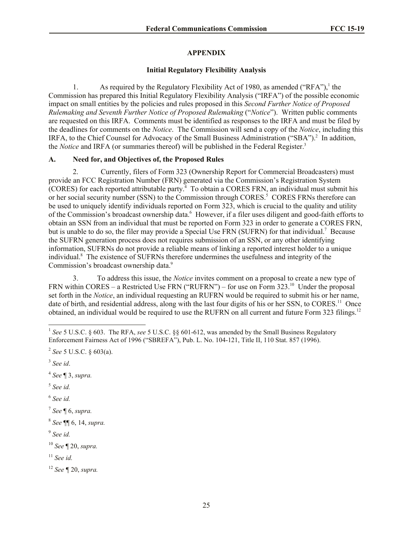### **APPENDIX**

#### **Initial Regulatory Flexibility Analysis**

1. As required by the Regulatory Flexibility Act of 1980, as amended ("RFA"),  $\frac{1}{1}$  the Commission has prepared this Initial Regulatory Flexibility Analysis ("IRFA") of the possible economic impact on small entities by the policies and rules proposed in this *Second Further Notice of Proposed Rulemaking and Seventh Further Notice of Proposed Rulemaking* ("*Notice*"). Written public comments are requested on this IRFA. Comments must be identified as responses to the IRFA and must be filed by the deadlines for comments on the *Notice*. The Commission will send a copy of the *Notice*, including this IRFA, to the Chief Counsel for Advocacy of the Small Business Administration ("SBA").<sup>2</sup> In addition, the *Notice* and IRFA (or summaries thereof) will be published in the Federal Register.<sup>3</sup>

# **A. Need for, and Objectives of, the Proposed Rules**

2. Currently, filers of Form 323 (Ownership Report for Commercial Broadcasters) must provide an FCC Registration Number (FRN) generated via the Commission's Registration System (CORES) for each reported attributable party. 4 To obtain a CORES FRN, an individual must submit his or her social security number (SSN) to the Commission through CORES.<sup>5</sup> CORES FRNs therefore can be used to uniquely identify individuals reported on Form 323, which is crucial to the quality and utility of the Commission's broadcast ownership data.<sup>6</sup> However, if a filer uses diligent and good-faith efforts to obtain an SSN from an individual that must be reported on Form 323 in order to generate a CORES FRN, but is unable to do so, the filer may provide a Special Use FRN (SUFRN) for that individual.<sup>7</sup> Because the SUFRN generation process does not requires submission of an SSN, or any other identifying information, SUFRNs do not provide a reliable means of linking a reported interest holder to a unique individual.<sup>8</sup> The existence of SUFRNs therefore undermines the usefulness and integrity of the Commission's broadcast ownership data.<sup>9</sup>

3. To address this issue, the *Notice* invites comment on a proposal to create a new type of FRN within CORES – a Restricted Use FRN ("RUFRN") – for use on Form 323.<sup>10</sup> Under the proposal set forth in the *Notice*, an individual requesting an RUFRN would be required to submit his or her name, date of birth, and residential address, along with the last four digits of his or her SSN, to CORES.<sup>11</sup> Once obtained, an individual would be required to use the RUFRN on all current and future Form 323 filings.<sup>12</sup>

4 *See* ¶ 3, *supra.*

- 5 *See id.*
- 6 *See id.*

7 *See* ¶ 6, *supra.*

9 *See id.*

<sup>11</sup> *See id.*

<sup>&</sup>lt;sup>1</sup> See 5 U.S.C. § 603. The RFA, see 5 U.S.C. §§ 601-612, was amended by the Small Business Regulatory Enforcement Fairness Act of 1996 ("SBREFA"), Pub. L. No. 104-121, Title II, 110 Stat. 857 (1996).

<sup>2</sup> *See* 5 U.S.C. § 603(a).

<sup>3</sup> *See id*.

<sup>8</sup> *See* ¶¶ 6, 14, *supra.*

<sup>10</sup> *See* ¶ 20, *supra.*

<sup>12</sup> *See ¶* 20, *supra.*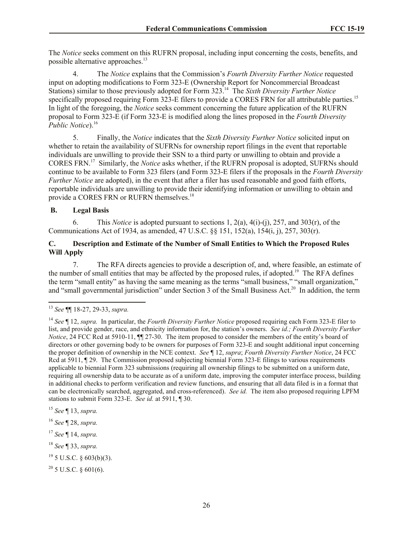The *Notice* seeks comment on this RUFRN proposal, including input concerning the costs, benefits, and possible alternative approaches. 13

4. The *Notice* explains that the Commission's *Fourth Diversity Further Notice* requested input on adopting modifications to Form 323-E (Ownership Report for Noncommercial Broadcast Stations) similar to those previously adopted for Form 323. 14 The *Sixth Diversity Further Notice* specifically proposed requiring Form 323-E filers to provide a CORES FRN for all attributable parties.<sup>15</sup> In light of the foregoing, the *Notice* seeks comment concerning the future application of the RUFRN proposal to Form 323-E (if Form 323-E is modified along the lines proposed in the *Fourth Diversity Public Notice*).<sup>16</sup>

5. Finally, the *Notice* indicates that the *Sixth Diversity Further Notice* solicited input on whether to retain the availability of SUFRNs for ownership report filings in the event that reportable individuals are unwilling to provide their SSN to a third party or unwilling to obtain and provide a CORES FRN.<sup>17</sup> Similarly, the *Notice* asks whether, if the RUFRN proposal is adopted, SUFRNs should continue to be available to Form 323 filers (and Form 323-E filers if the proposals in the *Fourth Diversity Further Notice* are adopted), in the event that after a filer has used reasonable and good faith efforts, reportable individuals are unwilling to provide their identifying information or unwilling to obtain and provide a CORES FRN or RUFRN themselves.<sup>18</sup>

# **B. Legal Basis**

6. This *Notice* is adopted pursuant to sections 1, 2(a), 4(i)-(j), 257, and 303(r), of the Communications Act of 1934, as amended, 47 U.S.C. §§ 151, 152(a), 154(i, j), 257, 303(r).

# **C. Description and Estimate of the Number of Small Entities to Which the Proposed Rules Will Apply**

7. The RFA directs agencies to provide a description of, and, where feasible, an estimate of the number of small entities that may be affected by the proposed rules, if adopted.<sup>19</sup> The RFA defines the term "small entity" as having the same meaning as the terms "small business," "small organization," and "small governmental jurisdiction" under Section 3 of the Small Business Act.<sup>20</sup> In addition, the term

<sup>15</sup> *See* ¶ 13, *supra.*

<sup>16</sup> *See* ¶ 28, *supra.*

<sup>17</sup> *See* ¶ 14, *supra.*

<sup>18</sup> *See* ¶ 33, *supra.*

 $19$  5 U.S.C. § 603(b)(3).

 $^{20}$  5 U.S.C. § 601(6).

l <sup>13</sup> *See* ¶¶ 18-27, 29-33, *supra.*

<sup>14</sup> *See* ¶ 12, *supra.* In particular, the *Fourth Diversity Further Notice* proposed requiring each Form 323-E filer to list, and provide gender, race, and ethnicity information for, the station's owners. *See id.; Fourth Diversity Further Notice*, 24 FCC Rcd at 5910-11,  $\P$  27-30. The item proposed to consider the members of the entity's board of directors or other governing body to be owners for purposes of Form 323-E and sought additional input concerning the proper definition of ownership in the NCE context. *See* ¶ 12, *supra*; *Fourth Diversity Further Notice*, 24 FCC Rcd at 5911,  $\P$  29. The Commission proposed subjecting biennial Form 323-E filings to various requirements applicable to biennial Form 323 submissions (requiring all ownership filings to be submitted on a uniform date, requiring all ownership data to be accurate as of a uniform date, improving the computer interface process, building in additional checks to perform verification and review functions, and ensuring that all data filed is in a format that can be electronically searched, aggregated, and cross-referenced). *See id.* The item also proposed requiring LPFM stations to submit Form 323-E. *See id.* at 5911, ¶ 30.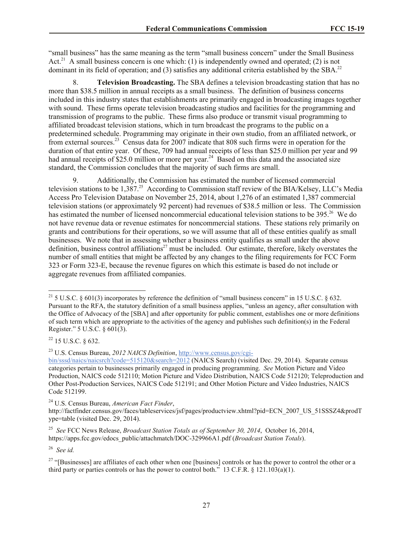"small business" has the same meaning as the term "small business concern" under the Small Business Act.<sup>21</sup> A small business concern is one which: (1) is independently owned and operated; (2) is not dominant in its field of operation; and (3) satisfies any additional criteria established by the SBA.<sup>22</sup>

8. **Television Broadcasting.** The SBA defines a television broadcasting station that has no more than \$38.5 million in annual receipts as a small business. The definition of business concerns included in this industry states that establishments are primarily engaged in broadcasting images together with sound. These firms operate television broadcasting studios and facilities for the programming and transmission of programs to the public. These firms also produce or transmit visual programming to affiliated broadcast television stations, which in turn broadcast the programs to the public on a predetermined schedule. Programming may originate in their own studio, from an affiliated network, or from external sources.<sup>23</sup> Census data for 2007 indicate that 808 such firms were in operation for the duration of that entire year. Of these, 709 had annual receipts of less than \$25.0 million per year and 99 had annual receipts of \$25.0 million or more per year.<sup>24</sup> Based on this data and the associated size standard, the Commission concludes that the majority of such firms are small.

9. Additionally, the Commission has estimated the number of licensed commercial television stations to be 1,387.<sup>25</sup> According to Commission staff review of the BIA/Kelsey, LLC's Media Access Pro Television Database on November 25, 2014, about 1,276 of an estimated 1,387 commercial television stations (or approximately 92 percent) had revenues of \$38.5 million or less. The Commission has estimated the number of licensed noncommercial educational television stations to be 395.<sup>26</sup> We do not have revenue data or revenue estimates for noncommercial stations. These stations rely primarily on grants and contributions for their operations, so we will assume that all of these entities qualify as small businesses. We note that in assessing whether a business entity qualifies as small under the above definition, business control affiliations<sup>27</sup> must be included. Our estimate, therefore, likely overstates the number of small entities that might be affected by any changes to the filing requirements for FCC Form 323 or Form 323-E, because the revenue figures on which this estimate is based do not include or aggregate revenues from affiliated companies.

l

<sup>23</sup> U.S. Census Bureau, *2012 NAICS Definition*, http://www.census.gov/cgi-

<sup>24</sup> U.S. Census Bureau, *American Fact Finder*,

http://factfinder.census.gov/faces/tableservices/jsf/pages/productview.xhtml?pid=ECN\_2007\_US\_51SSSZ4&prodT ype=table (visited Dec. 29, 2014).

25 *See* FCC News Release, *Broadcast Station Totals as of September 30, 2014*, October 16, 2014, https://apps.fcc.gov/edocs\_public/attachmatch/DOC-329966A1.pdf (*Broadcast Station Totals*).

26 *See id.* 

<sup>&</sup>lt;sup>21</sup> 5 U.S.C. § 601(3) incorporates by reference the definition of "small business concern" in 15 U.S.C. § 632. Pursuant to the RFA, the statutory definition of a small business applies, "unless an agency, after consultation with the Office of Advocacy of the [SBA] and after opportunity for public comment, establishes one or more definitions of such term which are appropriate to the activities of the agency and publishes such definition(s) in the Federal Register." 5 U.S.C. § 601(3).

<sup>22</sup> 15 U.S.C. § 632.

bin/sssd/naics/naicsrch?code=515120&search=2012 (NAICS Search) (visited Dec. 29, 2014). Separate census categories pertain to businesses primarily engaged in producing programming. *See* Motion Picture and Video Production, NAICS code 512110; Motion Picture and Video Distribution, NAICS Code 512120; Teleproduction and Other Post-Production Services, NAICS Code 512191; and Other Motion Picture and Video Industries, NAICS Code 512199.

 $27$  "[Businesses] are affiliates of each other when one [business] controls or has the power to control the other or a third party or parties controls or has the power to control both." 13 C.F.R.  $\&$  121.103(a)(1).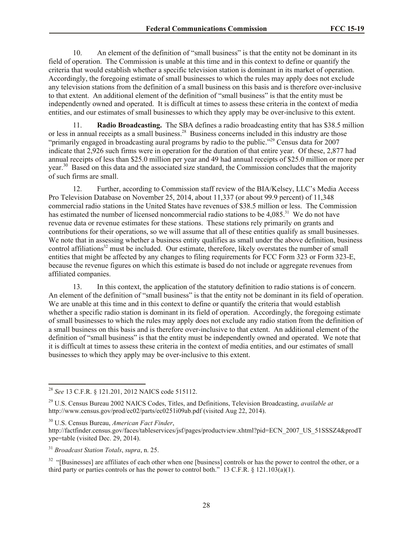10. An element of the definition of "small business" is that the entity not be dominant in its field of operation. The Commission is unable at this time and in this context to define or quantify the criteria that would establish whether a specific television station is dominant in its market of operation. Accordingly, the foregoing estimate of small businesses to which the rules may apply does not exclude any television stations from the definition of a small business on this basis and is therefore over-inclusive to that extent. An additional element of the definition of "small business" is that the entity must be independently owned and operated. It is difficult at times to assess these criteria in the context of media entities, and our estimates of small businesses to which they apply may be over-inclusive to this extent.

11. **Radio Broadcasting.** The SBA defines a radio broadcasting entity that has \$38.5 million or less in annual receipts as a small business.<sup>28</sup> Business concerns included in this industry are those "primarily engaged in broadcasting aural programs by radio to the public."<sup>29</sup> Census data for 2007 indicate that 2,926 such firms were in operation for the duration of that entire year. Of these, 2,877 had annual receipts of less than \$25.0 million per year and 49 had annual receipts of \$25.0 million or more per year.<sup>30</sup> Based on this data and the associated size standard, the Commission concludes that the majority of such firms are small.

12. Further, according to Commission staff review of the BIA/Kelsey, LLC's Media Access Pro Television Database on November 25, 2014, about 11,337 (or about 99.9 percent) of 11,348 commercial radio stations in the United States have revenues of \$38.5 million or less. The Commission has estimated the number of licensed noncommercial radio stations to be 4,085.<sup>31</sup> We do not have revenue data or revenue estimates for these stations. These stations rely primarily on grants and contributions for their operations, so we will assume that all of these entities qualify as small businesses. We note that in assessing whether a business entity qualifies as small under the above definition, business control affiliations<sup>32</sup> must be included. Our estimate, therefore, likely overstates the number of small entities that might be affected by any changes to filing requirements for FCC Form 323 or Form 323-E, because the revenue figures on which this estimate is based do not include or aggregate revenues from affiliated companies.

13. In this context, the application of the statutory definition to radio stations is of concern. An element of the definition of "small business" is that the entity not be dominant in its field of operation. We are unable at this time and in this context to define or quantify the criteria that would establish whether a specific radio station is dominant in its field of operation. Accordingly, the foregoing estimate of small businesses to which the rules may apply does not exclude any radio station from the definition of a small business on this basis and is therefore over-inclusive to that extent. An additional element of the definition of "small business" is that the entity must be independently owned and operated. We note that it is difficult at times to assess these criteria in the context of media entities, and our estimates of small businesses to which they apply may be over-inclusive to this extent.

<sup>30</sup> U.S. Census Bureau, *American Fact Finder*,

<sup>31</sup> *Broadcast Station Totals*, *supra*, n. 25.

l

 $32$  "[Businesses] are affiliates of each other when one [business] controls or has the power to control the other, or a third party or parties controls or has the power to control both." 13 C.F.R.  $\frac{121.103(a)(1)}{12.103(a)(1)}$ .

<sup>28</sup> *See* 13 C.F.R. § 121.201, 2012 NAICS code 515112.

<sup>29</sup> U.S. Census Bureau 2002 NAICS Codes, Titles, and Definitions, Television Broadcasting, *available at* http://www.census.gov/prod/ec02/parts/ec0251i09ab.pdf (visited Aug 22, 2014).

http://factfinder.census.gov/faces/tableservices/jsf/pages/productview.xhtml?pid=ECN\_2007\_US\_51SSSZ4&prodT ype=table (visited Dec. 29, 2014).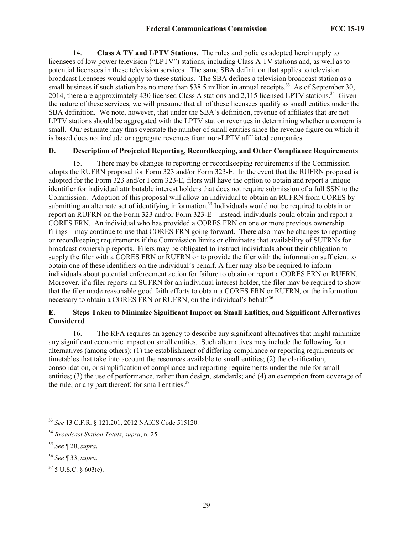14. **Class A TV and LPTV Stations.** The rules and policies adopted herein apply to licensees of low power television ("LPTV") stations, including Class A TV stations and, as well as to potential licensees in these television services. The same SBA definition that applies to television broadcast licensees would apply to these stations. The SBA defines a television broadcast station as a small business if such station has no more than \$38.5 million in annual receipts.<sup>33</sup> As of September 30, 2014, there are approximately 430 licensed Class A stations and 2,115 licensed LPTV stations.<sup>34</sup> Given the nature of these services, we will presume that all of these licensees qualify as small entities under the SBA definition. We note, however, that under the SBA's definition, revenue of affiliates that are not LPTV stations should be aggregated with the LPTV station revenues in determining whether a concern is small. Our estimate may thus overstate the number of small entities since the revenue figure on which it is based does not include or aggregate revenues from non-LPTV affiliated companies.

#### **D. Description of Projected Reporting, Recordkeeping, and Other Compliance Requirements**

15. There may be changes to reporting or recordkeeping requirements if the Commission adopts the RUFRN proposal for Form 323 and/or Form 323-E. In the event that the RUFRN proposal is adopted for the Form 323 and/or Form 323-E, filers will have the option to obtain and report a unique identifier for individual attributable interest holders that does not require submission of a full SSN to the Commission. Adoption of this proposal will allow an individual to obtain an RUFRN from CORES by submitting an alternate set of identifying information.<sup>35</sup> Individuals would not be required to obtain or report an RUFRN on the Form 323 and/or Form 323-E – instead, individuals could obtain and report a CORES FRN. An individual who has provided a CORES FRN on one or more previous ownership filings may continue to use that CORES FRN going forward. There also may be changes to reporting or recordkeeping requirements if the Commission limits or eliminates that availability of SUFRNs for broadcast ownership reports. Filers may be obligated to instruct individuals about their obligation to supply the filer with a CORES FRN or RUFRN or to provide the filer with the information sufficient to obtain one of these identifiers on the individual's behalf. A filer may also be required to inform individuals about potential enforcement action for failure to obtain or report a CORES FRN or RUFRN. Moreover, if a filer reports an SUFRN for an individual interest holder, the filer may be required to show that the filer made reasonable good faith efforts to obtain a CORES FRN or RUFRN, or the information necessary to obtain a CORES FRN or RUFRN, on the individual's behalf.<sup>36</sup>

## **E. Steps Taken to Minimize Significant Impact on Small Entities, and Significant Alternatives Considered**

16. The RFA requires an agency to describe any significant alternatives that might minimize any significant economic impact on small entities. Such alternatives may include the following four alternatives (among others): (1) the establishment of differing compliance or reporting requirements or timetables that take into account the resources available to small entities; (2) the clarification, consolidation, or simplification of compliance and reporting requirements under the rule for small entities; (3) the use of performance, rather than design, standards; and (4) an exemption from coverage of the rule, or any part thereof, for small entities. $37$ 

l

- <sup>36</sup> *See* ¶ 33, *supra*.
- $37\,$  5 U.S.C.  $\frac{603(c)}{c}$ .

<sup>33</sup> *See* 13 C.F.R. § 121.201, 2012 NAICS Code 515120.

<sup>34</sup> *Broadcast Station Totals*, *supra*, n. 25.

<sup>35</sup> *See* ¶ 20, *supra*.